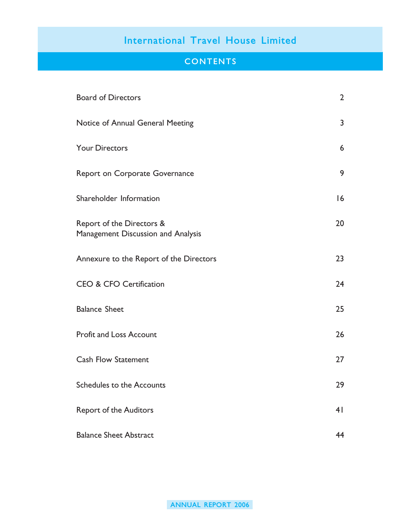### **CONTENTS**

| <b>Board of Directors</b>                                       | $\overline{2}$ |
|-----------------------------------------------------------------|----------------|
| Notice of Annual General Meeting                                | 3              |
| <b>Your Directors</b>                                           | 6              |
| Report on Corporate Governance                                  | 9              |
| Shareholder Information                                         | 16             |
| Report of the Directors &<br>Management Discussion and Analysis | 20             |
| Annexure to the Report of the Directors                         | 23             |
| <b>CEO &amp; CFO Certification</b>                              | 24             |
| <b>Balance Sheet</b>                                            | 25             |
| <b>Profit and Loss Account</b>                                  | 26             |
| <b>Cash Flow Statement</b>                                      | 27             |
| <b>Schedules to the Accounts</b>                                | 29             |
| <b>Report of the Auditors</b>                                   | 4 <sup>1</sup> |
| <b>Balance Sheet Abstract</b>                                   | 44             |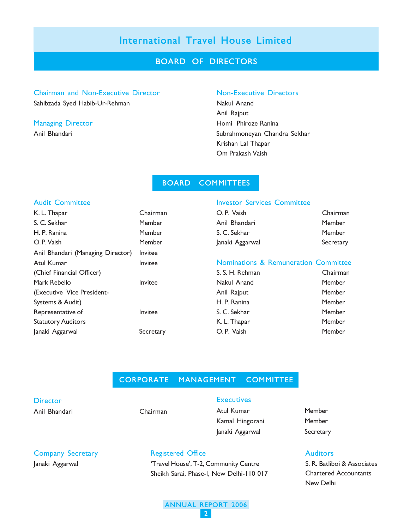#### BOARD OF DIRECTORS

#### Chairman and Non-Executive Director Non-Executive Directors

Sahibzada Syed Habib-Ur-Rehman Nakul Anand

Anil Rajput Managing Director **Homi Phiroze Ranina** Anil Bhandari Subrahmoneyan Chandra Sekhar Krishan Lal Thapar Om Prakash Vaish

#### BOARD COMMITTEES

# Audit Committee

| K. L. Thapar                      |
|-----------------------------------|
| S. C. Sekhar                      |
| H. P. Ranina                      |
| O. P. Vaish                       |
| Anil Bhandari (Managing Director) |
| Atul Kumar                        |
| (Chief Financial Officer)         |
| Mark Rebello                      |
| (Executive Vice President-        |
| Systems & Audit)                  |
| Representative of                 |
| <b>Statutory Auditors</b>         |
| Janaki Aggarwal                   |

#### Investor Services Committee

| O.P. Vaish      | Chairman  |
|-----------------|-----------|
| Anil Bhandari   | Member    |
| S. C. Sekhar    | Member    |
| Janaki Aggarwal | Secretary |

#### Nominations & Remuneration Committee

| S. S. H. Rehman | Chairman |
|-----------------|----------|
| Nakul Anand     | Member   |
| Anil Rajput     | Member   |
| H. P. Ranina    | Member   |
| S. C. Sekhar    | Member   |
| K. L. Thapar    | Member   |
| O.P. Vaish      | Member   |

#### CORPORATE MANAGEMENT COMMITTEE

| Director      |  |
|---------------|--|
| Anil Bhandari |  |
|               |  |

Chairman

Chairman **Member Member Member Invitee Invitee** 

**Invitee** 

Invitee

Secretary

#### **Executives**

Atul Kumar Member Kamal Hingorani Member Janaki Aggarwal Secretary

#### Auditors

S. R. Batliboi & Associates Chartered Accountants New Delhi

### Company Secretary Janaki Aggarwal

#### Registered Office

'Travel House', T-2, Community Centre Sheikh Sarai, Phase-I, New Delhi-110 017

#### ANNUAL REPORT 2006 2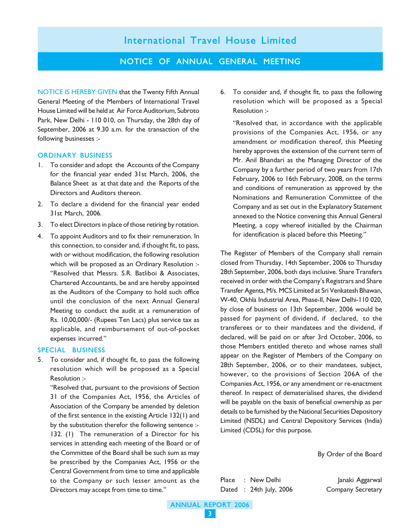NOTICE OF ANNUAL GENERAL MEETING

NOTICE IS HEREBY GIVEN that the Twenty Fifth Annual General Meeting of the Members of International Travel House Limited will be held at Air Force Auditorium, Subroto Park, New Delhi - 110 010, on Thursday, the 28th day of September, 2006 at 9.30 a.m. for the transaction of the following businesses :-

#### ORDINARY BUSINESS

- 1. To consider and adopt the Accounts of the Company for the financial year ended 31st March, 2006, the Balance Sheet as at that date and the Reports of the Directors and Auditors thereon.
- 2. To declare a dividend for the financial year ended 31st March, 2006.
- 3. To elect Directors in place of those retiring by rotation.
- 4. To appoint Auditors and to fix their remuneration. In this connection, to consider and, if thought fit, to pass, with or without modification, the following resolution which will be proposed as an Ordinary Resolution :-"Resolved that Messrs. S.R. Batliboi & Associates, Chartered Accountants, be and are hereby appointed as the Auditors of the Company to hold such office until the conclusion of the next Annual General Meeting to conduct the audit at a remuneration of Rs. 10,00,000/- (Rupees Ten Lacs) plus service tax as applicable, and reimbursement of out-of-pocket expenses incurred."

#### SPECIAL BUSINESS

5. To consider and, if thought fit, to pass the following resolution which will be proposed as a Special Resolution :-

"Resolved that, pursuant to the provisions of Section 31 of the Companies Act, 1956, the Articles of Association of the Company be amended by deletion of the first sentence in the existing Article 132(1) and by the substitution therefor the following sentence :- 132. (1) The remuneration of a Director for his services in attending each meeting of the Board or of the Committee of the Board shall be such sum as may be prescribed by the Companies Act, 1956 or the Central Government from time to time and applicable to the Company or such lesser amount as the Directors may accept from time to time."

6. To consider and, if thought fit, to pass the following resolution which will be proposed as a Special Resolution :-

"Resolved that, in accordance with the applicable provisions of the Companies Act, 1956, or any amendment or modification thereof, this Meeting hereby approves the extension of the current term of Mr. Anil Bhandari as the Managing Director of the Company by a further period of two years from 17th February, 2006 to 16th February, 2008, on the terms and conditions of remuneration as approved by the Nominations and Remuneration Committee of the Company and as set out in the Explanatory Statement annexed to the Notice convening this Annual General Meeting, a copy whereof initialled by the Chairman for identification is placed before this Meeting."

The Register of Members of the Company shall remain closed from Thursday, 14th September, 2006 to Thursday 28th September, 2006, both days inclusive. Share Transfers received in order with the Company's Registrars and Share Transfer Agents, M/s. MCS Limited at Sri Venkatesh Bhawan, W-40, Okhla Industrial Area, Phase-II, New Delhi-110 020, by close of business on 13th September, 2006 would be passed for payment of dividend, if declared, to the transferees or to their mandatees and the dividend, if declared, will be paid on or after 3rd October, 2006, to those Members entitled thereto and whose names shall appear on the Register of Members of the Company on 28th September, 2006, or to their mandatees, subject, however, to the provisions of Section 206A of the Companies Act, 1956, or any amendment or re-enactment thereof. In respect of dematerialised shares, the dividend will be payable on the basis of beneficial ownership as per details to be furnished by the National Securities Depository Limited (NSDL) and Central Depository Services (India) Limited (CDSL) for this purpose.

By Order of the Board

Place : New Delhi Janaki Aggarwal Dated : 24th July, 2006 Company Secretary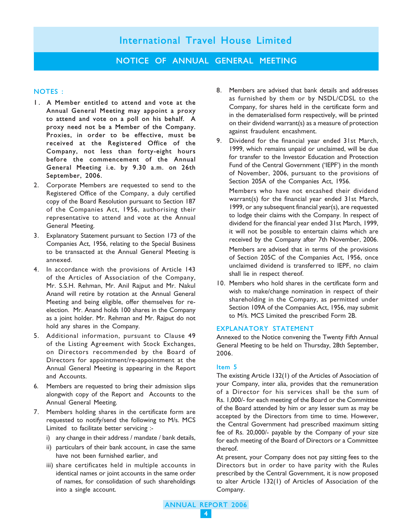#### NOTICE OF ANNUAL GENERAL MEETING

#### NOTES :

- 1. A Member entitled to attend and vote at the Annual General Meeting may appoint a proxy to attend and vote on a poll on his behalf. A proxy need not be a Member of the Company. Proxies, in order to be effective, must be received at the Registered Office of the Company, not less than forty-eight hours before the commencement of the Annual General Meeting i.e. by 9.30 a.m. on 26th September, 2006.
- 2. Corporate Members are requested to send to the Registered Office of the Company, a duly certified copy of the Board Resolution pursuant to Section 187 of the Companies Act, 1956, authorising their representative to attend and vote at the Annual General Meeting.
- 3. Explanatory Statement pursuant to Section 173 of the Companies Act, 1956, relating to the Special Business to be transacted at the Annual General Meeting is annexed.
- 4. In accordance with the provisions of Article 143 of the Articles of Association of the Company, Mr. S.S.H. Rehman, Mr. Anil Rajput and Mr. Nakul Anand will retire by rotation at the Annual General Meeting and being eligible, offer themselves for reelection. Mr. Anand holds 100 shares in the Company as a joint holder. Mr. Rehman and Mr. Rajput do not hold any shares in the Company.
- 5. Additional information, pursuant to Clause 49 of the Listing Agreement with Stock Exchanges, on Directors recommended by the Board of Directors for appointment/re-appointment at the Annual General Meeting is appearing in the Report and Accounts.
- 6. Members are requested to bring their admission slips alongwith copy of the Report and Accounts to the Annual General Meeting.
- 7. Members holding shares in the certificate form are requested to notify/send the following to M/s. MCS Limited to facilitate better servicing :
	- i) any change in their address / mandate / bank details,
	- ii) particulars of their bank account, in case the same have not been furnished earlier, and
	- iii) share certificates held in multiple accounts in identical names or joint accounts in the same order of names, for consolidation of such shareholdings into a single account.
- 8. Members are advised that bank details and addresses as furnished by them or by NSDL/CDSL to the Company, for shares held in the certificate form and in the dematerialised form respectively, will be printed on their dividend warrant(s) as a measure of protection against fraudulent encashment.
- 9. Dividend for the financial year ended 31st March, 1999, which remains unpaid or unclaimed, will be due for transfer to the Investor Education and Protection Fund of the Central Government ('IEPF') in the month of November, 2006, pursuant to the provisions of Section 205A of the Companies Act, 1956.

Members who have not encashed their dividend warrant(s) for the financial year ended 31st March, 1999, or any subsequent financial year(s), are requested to lodge their claims with the Company. In respect of dividend for the financial year ended 31st March, 1999, it will not be possible to entertain claims which are received by the Company after 7th November, 2006. Members are advised that in terms of the provisions of Section 205C of the Companies Act, 1956, once unclaimed dividend is transferred to IEPF, no claim shall lie in respect thereof.

10. Members who hold shares in the certificate form and wish to make/change nomination in respect of their shareholding in the Company, as permitted under Section 109A of the Companies Act, 1956, may submit to M/s. MCS Limited the prescribed Form 2B.

#### EXPLANATORY STATEMENT

Annexed to the Notice convening the Twenty Fifth Annual General Meeting to be held on Thursday, 28th September, 2006.

#### Item 5

The existing Article 132(1) of the Articles of Association of your Company, inter alia, provides that the remuneration of a Director for his services shall be the sum of Rs. 1,000/- for each meeting of the Board or the Committee of the Board attended by him or any lesser sum as may be accepted by the Directors from time to time. However, the Central Government had prescribed maximum sitting fee of Rs. 20,000/- payable by the Company of your size for each meeting of the Board of Directors or a Committee thereof.

At present, your Company does not pay sitting fees to the Directors but in order to have parity with the Rules prescribed by the Central Government, it is now proposed to alter Article 132(1) of Articles of Association of the Company.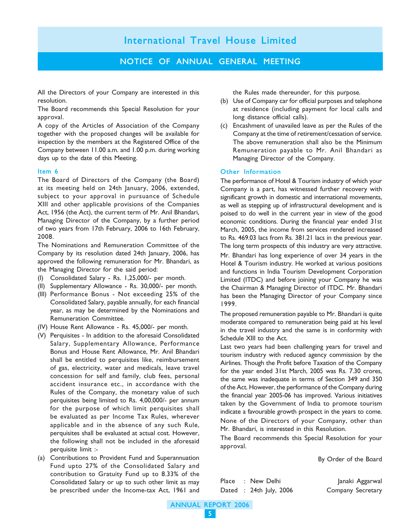#### NOTICE OF ANNUAL GENERAL MEETING

All the Directors of your Company are interested in this resolution.

The Board recommends this Special Resolution for your approval.

A copy of the Articles of Association of the Company together with the proposed changes will be available for inspection by the members at the Registered Office of the Company between 11.00 a.m. and 1.00 p.m. during working days up to the date of this Meeting.

#### Item 6

The Board of Directors of the Company (the Board) at its meeting held on 24th January, 2006, extended, subject to your approval in pursuance of Schedule XIII and other applicable provisions of the Companies Act, 1956 (the Act), the current term of Mr. Anil Bhandari, Managing Director of the Company, by a further period of two years from 17th February, 2006 to 16th February, 2008.

The Nominations and Remuneration Committee of the Company by its resolution dated 24th January, 2006, has approved the following remuneration for Mr. Bhandari, as the Managing Director for the said period:

- (I) Consolidated Salary Rs. 1,25,000/- per month.
- (II) Supplementary Allowance Rs. 30,000/- per month.
- (III) Performance Bonus Not exceeding 25% of the Consolidated Salary, payable annually, for each financial year, as may be determined by the Nominations and Remuneration Committee.
- (IV) House Rent Allowance Rs. 45,000/- per month.
- (V) Perquisites In addition to the aforesaid Consolidated Salary, Supplementary Allowance, Performance Bonus and House Rent Allowance, Mr. Anil Bhandari shall be entitled to perquisites like, reimbursement of gas, electricity, water and medicals, leave travel concession for self and family, club fees, personal accident insurance etc., in accordance with the Rules of the Company, the monetary value of such perquisites being limited to Rs. 4,00,000/- per annum for the purpose of which limit perquisites shall be evaluated as per Income Tax Rules, wherever applicable and in the absence of any such Rule, perquisites shall be evaluated at actual cost. However, the following shall not be included in the aforesaid perquisite limit :-
- (a) Contributions to Provident Fund and Superannuation Fund upto 27% of the Consolidated Salary and contribution to Gratuity Fund up to 8.33% of the Consolidated Salary or up to such other limit as may be prescribed under the Income-tax Act, 1961 and

the Rules made thereunder, for this purpose.

- (b) Use of Company car for official purposes and telephone at residence (including payment for local calls and long distance official calls).
- (c) Encashment of unavailed leave as per the Rules of the Company at the time of retirement/cessation of service. The above remuneration shall also be the Minimum Remuneration payable to Mr. Anil Bhandari as Managing Director of the Company.

#### Other Information

The performance of Hotel & Tourism industry of which your Company is a part, has witnessed further recovery with significant growth in domestic and international movements, as well as stepping up of infrastructural development and is poised to do well in the current year in view of the good economic conditions. During the financial year ended 31st March, 2005, the income from services rendered increased to Rs. 469.03 lacs from Rs. 381.21 lacs in the previous year. The long term prospects of this industry are very attractive. Mr. Bhandari has long experience of over 34 years in the Hotel & Tourism industry. He worked at various positions and functions in India Tourism Development Corporation Limited (ITDC) and before joining your Company he was the Chairman & Managing Director of ITDC. Mr. Bhandari has been the Managing Director of your Company since 1999.

The proposed remuneration payable to Mr. Bhandari is quite moderate compared to remuneration being paid at his level in the travel industry and the same is in conformity with Schedule XIII to the Act.

Last two years had been challenging years for travel and tourism industry with reduced agency commission by the Airlines. Though the Profit before Taxation of the Company for the year ended 31st March, 2005 was Rs. 7.30 crores, the same was inadequate in terms of Section 349 and 350 of the Act. However, the performance of the Company during the financial year 2005-06 has improved. Various initiatives taken by the Government of India to promote tourism indicate a favourable growth prospect in the years to come. None of the Directors of your Company, other than Mr. Bhandari, is interested in this Resolution.

The Board recommends this Special Resolution for your approval.

By Order of the Board

Place : New Delhi Janaki Aggarwal Dated : 24th July, 2006 Company Secretary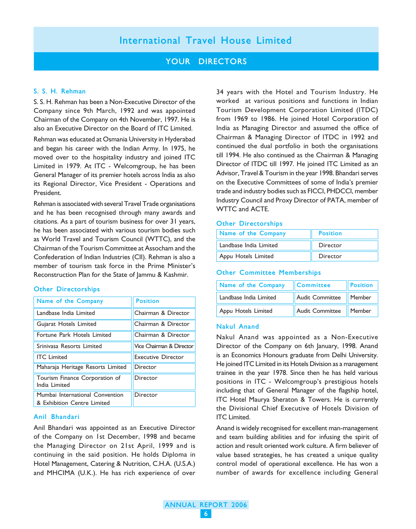#### YOUR DIRECTORS

#### S. S. H. Rehman

S. S. H. Rehman has been a Non-Executive Director of the Company since 9th March, 1992 and was appointed Chairman of the Company on 4th November, 1997. He is also an Executive Director on the Board of ITC Limited.

Rehman was educated at Osmania University in Hyderabad and began his career with the Indian Army. In 1975, he moved over to the hospitality industry and joined ITC Limited in 1979. At ITC - Welcomgroup, he has been General Manager of its premier hotels across India as also its Regional Director, Vice President - Operations and President.

Rehman is associated with several Travel Trade organisations and he has been recognised through many awards and citations. As a part of tourism business for over 31 years, he has been associated with various tourism bodies such as World Travel and Tourism Council (WTTC), and the Chairman of the Tourism Committee at Assocham and the Confederation of Indian Industries (CII). Rehman is also a member of tourism task force in the Prime Minister's Reconstruction Plan for the State of Jammu & Kashmir.

#### Other Directorships

| Name of the Company                                            | <b>Position</b>           |
|----------------------------------------------------------------|---------------------------|
| Landbase India Limited                                         | Chairman & Director       |
| Gujarat Hotels Limited                                         | Chairman & Director       |
| Fortune Park Hotels Limited                                    | Chairman & Director       |
| Srinivasa Resorts Limited                                      | Vice Chairman & Director  |
| <b>ITC</b> Limited                                             | <b>Executive Director</b> |
| Maharaja Heritage Resorts Limited                              | Director                  |
| Tourism Finance Corporation of<br>India Limited                | Director                  |
| Mumbai International Convention<br>& Exhibition Centre Limited | Director                  |

#### Anil Bhandari

Anil Bhandari was appointed as an Executive Director of the Company on 1st December, 1998 and became the Managing Director on 21st April, 1999 and is continuing in the said position. He holds Diploma in Hotel Management, Catering & Nutrition, C.H.A. (U.S.A.) and MHCIMA (U.K.). He has rich experience of over 34 years with the Hotel and Tourism Industry. He worked at various positions and functions in Indian Tourism Development Corporation Limited (ITDC) from 1969 to 1986. He joined Hotel Corporation of India as Managing Director and assumed the office of Chairman & Managing Director of ITDC in 1992 and continued the dual portfolio in both the organisations till 1994. He also continued as the Chairman & Managing Director of ITDC till 1997. He joined ITC Limited as an Advisor, Travel & Tourism in the year 1998. Bhandari serves on the Executive Committees of some of India's premier trade and industry bodies such as FICCI, PHDCCI, member Industry Council and Proxy Director of PATA, member of WTTC and ACTE.

#### Other Directorships

| Name of the Company    | <b>Position</b> |
|------------------------|-----------------|
| Landbase India Limited | Director        |
| Appu Hotels Limited    | Director        |

#### Other Committee Memberships

| Name of the Company    | $\blacksquare$ Committee | <b>Position</b> |
|------------------------|--------------------------|-----------------|
| Landbase India Limited | Audit Committee   Member |                 |
| Appu Hotels Limited    | Audit Committee   Member |                 |

#### Nakul Anand

Nakul Anand was appointed as a Non-Executive Director of the Company on 6th January, 1998. Anand is an Economics Honours graduate from Delhi University. He joined ITC Limited in its Hotels Division as a management trainee in the year 1978. Since then he has held various positions in ITC - Welcomgroup's prestigious hotels including that of General Manager of the flagship hotel, ITC Hotel Maurya Sheraton & Towers. He is currently the Divisional Chief Executive of Hotels Division of ITC Limited.

Anand is widely recognised for excellent man-management and team building abilities and for infusing the spirit of action and result oriented work culture. A firm believer of value based strategies, he has created a unique quality control model of operational excellence. He has won a number of awards for excellence including General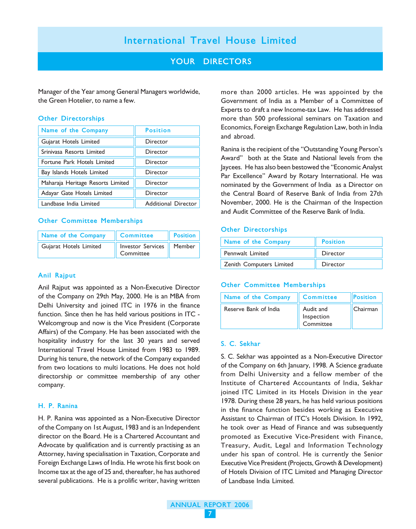### YOUR DIRECTORS

Manager of the Year among General Managers worldwide, the Green Hotelier, to name a few.

#### Other Directorships

| Name of the Company               | <b>Position</b>     |
|-----------------------------------|---------------------|
| Gujarat Hotels Limited            | Director            |
| Srinivasa Resorts Limited         | Director            |
| Fortune Park Hotels Limited       | Director            |
| Bay Islands Hotels Limited        | Director            |
| Maharaja Heritage Resorts Limited | Director            |
| Adayar Gate Hotels Limited        | Director            |
| Landbase India Limited            | Additional Director |

#### Other Committee Memberships

| Name of the Company    | Committee                               | <b>Position</b> |
|------------------------|-----------------------------------------|-----------------|
| Gujarat Hotels Limited | Investor Services   Member<br>Committee |                 |

#### Anil Rajput

Anil Rajput was appointed as a Non-Executive Director of the Company on 29th May, 2000. He is an MBA from Delhi University and joined ITC in 1976 in the finance function. Since then he has held various positions in ITC - Welcomgroup and now is the Vice President (Corporate Affairs) of the Company. He has been associated with the hospitality industry for the last 30 years and served International Travel House Limited from 1983 to 1989. During his tenure, the network of the Company expanded from two locations to multi locations. He does not hold directorship or committee membership of any other company.

#### H. P. Ranina

H. P. Ranina was appointed as a Non-Executive Director of the Company on 1st August, 1983 and is an Independent director on the Board. He is a Chartered Accountant and Advocate by qualification and is currently practising as an Attorney, having specialisation in Taxation, Corporate and Foreign Exchange Laws of India. He wrote his first book on Income tax at the age of 25 and, thereafter, he has authored several publications. He is a prolific writer, having written more than 2000 articles. He was appointed by the Government of India as a Member of a Committee of Experts to draft a new Income-tax Law. He has addressed more than 500 professional seminars on Taxation and Economics, Foreign Exchange Regulation Law, both in India and abroad.

Ranina is the recipient of the "Outstanding Young Person's Award" both at the State and National levels from the Jaycees. He has also been bestowed the "Economic Analyst Par Excellence" Award by Rotary International. He was nominated by the Government of India as a Director on the Central Board of Reserve Bank of India from 27th November, 2000. He is the Chairman of the Inspection and Audit Committee of the Reserve Bank of India.

#### Other Directorships

| Name of the Company      | <b>Position</b> |
|--------------------------|-----------------|
| Pennwalt Limited         | Director        |
| Zenith Computers Limited | Director        |

#### Other Committee Memberships

| Name of the Company   | Committee                            | Position |
|-----------------------|--------------------------------------|----------|
| Reserve Bank of India | Audit and<br>Inspection<br>Committee | Chairman |

#### S. C. Sekhar

S. C. Sekhar was appointed as a Non-Executive Director of the Company on 6th January, 1998. A Science graduate from Delhi University and a fellow member of the Institute of Chartered Accountants of India, Sekhar joined ITC Limited in its Hotels Division in the year 1978. During these 28 years, he has held various positions in the finance function besides working as Executive Assistant to Chairman of ITC's Hotels Division. In 1992, he took over as Head of Finance and was subsequently promoted as Executive Vice-President with Finance, Treasury, Audit, Legal and Information Technology under his span of control. He is currently the Senior Executive Vice President (Projects, Growth & Development) of Hotels Division of ITC Limited and Managing Director of Landbase India Limited.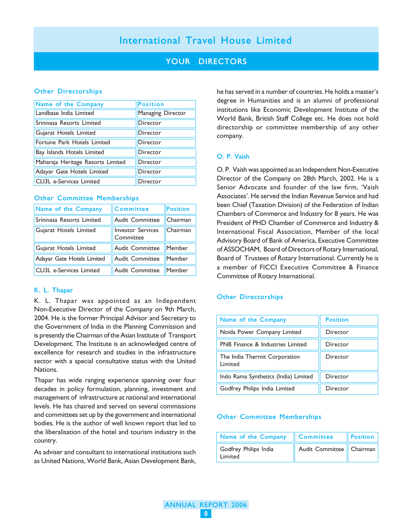### YOUR DIRECTORS

#### Other Directorships

| Name of the Company               | <b>Position</b>   |
|-----------------------------------|-------------------|
| Landbase India Limited            | Managing Director |
| Srinivasa Resorts Limited         | Director          |
| Gujarat Hotels Limited            | Director          |
| Fortune Park Hotels Limited       | Director          |
| Bay Islands Hotels Limited        | Director          |
| Maharaja Heritage Resorts Limited | Director          |
| Adayar Gate Hotels Limited        | Director          |
| CLI3L e-Services Limited          | Director          |

#### Other Committee Memberships

| Name of the Company        | <b>Committee</b>                      | Position |
|----------------------------|---------------------------------------|----------|
| Srinivasa Resorts Limited  | <b>Audit Committee</b>                | Chairman |
| Gujarat Hotels Limited     | <b>Investor Services</b><br>Committee | Chairman |
| Gujarat Hotels Limited     | <b>Audit Committee</b>                | Member   |
| Adayar Gate Hotels Limited | <b>Audit Committee</b>                | Member   |
| CLI3L e-Services Limited   | <b>Audit Committee</b>                | Member   |

#### K. L. Thapar

K. L. Thapar was appointed as an Independent Non-Executive Director of the Company on 9th March, 2004. He is the former Principal Advisor and Secretary to the Government of India in the Planning Commission and is presently the Chairman of the Asian Institute of Transport Development. The Institute is an acknowledged centre of excellence for research and studies in the infrastructure sector with a special consultative status with the United Nations.

Thapar has wide ranging experience spanning over four decades in policy formulation, planning, investment and management of infrastructure at national and international levels. He has chaired and served on several commissions and committees set up by the government and international bodies. He is the author of well known report that led to the liberalisation of the hotel and tourism industry in the country.

As adviser and consultant to international institutions such as United Nations, World Bank, Asian Development Bank, he has served in a number of countries. He holds a master's degree in Humanities and is an alumni of professional institutions like Economic Development Institute of the World Bank, British Staff College etc. He does not hold directorship or committee membership of any other company.

#### O. P. Vaish

O. P. Vaish was appointed as an Independent Non-Executive Director of the Company on 28th March, 2002. He is a Senior Advocate and founder of the law firm, 'Vaish Associates'. He served the Indian Revenue Service and had been Chief (Taxation Division) of the Federation of Indian Chambers of Commerce and Industry for 8 years. He was President of PHD Chamber of Commerce and Industry & International Fiscal Association, Member of the local Advisory Board of Bank of America, Executive Committee of ASSOCHAM, Board of Directors of Rotary International, Board of Trustees of Rotary International. Currently he is a member of FICCI Executive Committee & Finance Committee of Rotary International.

#### Other Directorships

| Name of the Company                         | <b>Position</b> |
|---------------------------------------------|-----------------|
| Noida Power Company Limited                 | Director        |
| <b>PNB Finance &amp; Industries Limited</b> | Director        |
| The India Thermit Corporation<br>Limited    | Director        |
| Indo Rama Synthetics (India) Limited        | Director        |
| Godfrey Philips India Limited               | Director        |

#### Other Committee Memberships

| Name of the Company Committee    |                          | Position |
|----------------------------------|--------------------------|----------|
| Godfrey Philips India<br>Limited | Audit Committee Chairman |          |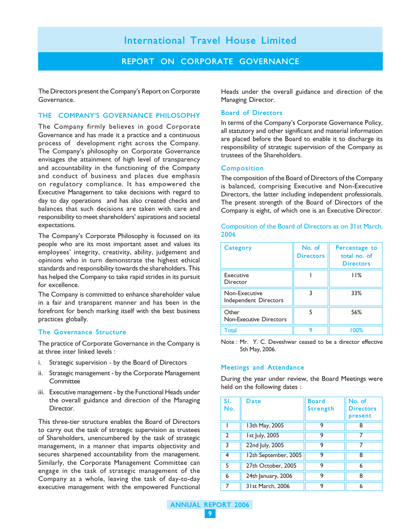#### REPORT ON CORPORATE GOVERNANCE

The Directors present the Company's Report on Corporate Governance.

#### THE COMPANY'S GOVERNANCE PHILOSOPHY

The Company firmly believes in good Corporate Governance and has made it a practice and a continuous process of development right across the Company. The Company's philosophy on Corporate Governance envisages the attainment of high level of transparency and accountability in the functioning of the Company and conduct of business and places due emphasis on regulatory compliance. It has empowered the Executive Management to take decisions with regard to day to day operations and has also created checks and balances that such decisions are taken with care and responsibility to meet shareholders' aspirations and societal expectations.

The Company's Corporate Philosophy is focussed on its people who are its most important asset and values its employees' integrity, creativity, ability, judgement and opinions who in turn demonstrate the highest ethical standards and responsibility towards the shareholders. This has helped the Company to take rapid strides in its pursuit for excellence.

The Company is committed to enhance shareholder value in a fair and transparent manner and has been in the forefront for bench marking itself with the best business practices globally.

#### The Governance Structure

The practice of Corporate Governance in the Company is at three inter linked levels :

- i. Strategic supervision by the Board of Directors
- ii. Strategic management by the Corporate Management Committee
- iii. Executive management by the Functional Heads under the overall guidance and direction of the Managing Director.

This three-tier structure enables the Board of Directors to carry out the task of strategic supervision as trustees of Shareholders, unencumbered by the task of strategic management, in a manner that imparts objectivity and secures sharpened accountability from the management. Similarly, the Corporate Management Committee can engage in the task of strategic management of the Company as a whole, leaving the task of day-to-day executive management with the empowered Functional

Heads under the overall guidance and direction of the Managing Director.

#### Board of Directors

In terms of the Company's Corporate Governance Policy, all statutory and other significant and material information are placed before the Board to enable it to discharge its responsibility of strategic supervision of the Company as trustees of the Shareholders.

#### Composition

The composition of the Board of Directors of the Company is balanced, comprising Executive and Non-Executive Directors, the latter including independent professionals. The present strength of the Board of Directors of the Company is eight, of which one is an Executive Director.

| Category                                | No. of<br><b>Directors</b> | Percentage to<br>total no. of<br><b>Directors</b> |
|-----------------------------------------|----------------------------|---------------------------------------------------|
| Executive<br>Director                   |                            | 11%                                               |
| Non-Executive<br>Independent Directors  |                            | 33%                                               |
| Other<br><b>Non-Executive Directors</b> |                            | 56%                                               |
| Total                                   |                            | 100%                                              |

Composition of the Board of Directors as on 31st March, 2006

Note : Mr. Y. C. Deveshwar ceased to be a director effective 5th May, 2006.

#### Meetings and Attendance

During the year under review, the Board Meetings were held on the following dates :

| SI.<br>No.   | Date                 | <b>Board</b><br><b>Strength</b> | No. of<br><b>Directors</b><br>present |
|--------------|----------------------|---------------------------------|---------------------------------------|
|              | 13th May, 2005       | 9                               |                                       |
| $\mathbf{2}$ | 1st July, 2005       | 9                               |                                       |
| 3            | 22nd July, 2005      | 9                               |                                       |
| 4            | 12th September, 2005 | 9                               | 8                                     |
| 5            | 27th October, 2005   | 9                               | 6                                     |
| 6            | 24th January, 2006   | 9                               | 8                                     |
|              | 31st March, 2006     |                                 |                                       |

ANNUAL REPORT 2006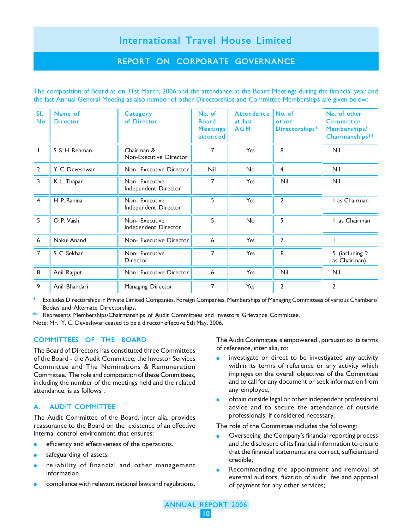### REPORT ON CORPORATE GOVERNANCE

The composition of Board as on 31st March, 2006 and the attendance at the Board Meetings during the financial year and the last Annual General Meeting as also number of other Directorships and Committee Memberships are given below:

| SI.<br>No.     | Name of<br><b>Director</b> | Category<br>of Director               | No. of<br><b>Board</b><br><b>Meetings</b><br>attended | <b>Attendance</b><br>at last<br><b>AGM</b> | No. of<br>other<br>Directorships* | No. of other<br>Committee<br>Memberships/<br>Chairmanships** |
|----------------|----------------------------|---------------------------------------|-------------------------------------------------------|--------------------------------------------|-----------------------------------|--------------------------------------------------------------|
|                | S. S. H. Rehman            | Chairman &<br>Non-Executive Director  | 7                                                     | Yes                                        | 8                                 | Nil                                                          |
| $\overline{2}$ | Y. C. Deveshwar            | Non- Executive Director               | Nil                                                   | <b>No</b>                                  | $\overline{4}$                    | Nil                                                          |
| 3              | K. L. Thapar               | Non-Executive<br>Independent Director | 7                                                     | Yes                                        | Nil                               | Nil                                                          |
| $\overline{4}$ | H. P. Ranina               | Non-Executive<br>Independent Director | 5                                                     | Yes                                        | $\overline{2}$                    | as Chairman                                                  |
| 5              | O.P. Vaish                 | Non-Executive<br>Independent Director | 5                                                     | <b>No</b>                                  | 5                                 | as Chairman                                                  |
| 6              | Nakul Anand                | Non- Executive Director               | 6                                                     | Yes                                        | 7                                 |                                                              |
| 7              | S. C. Sekhar               | Non-Executive<br>Director             | 7                                                     | Yes                                        | 8                                 | 5 (including 2<br>as Chairman)                               |
| 8              | Anil Rajput                | Non- Executive Director               | 6                                                     | Yes                                        | Nil                               | Nil                                                          |
| 9              | Anil Bhandari              | Managing Director                     | 7                                                     | Yes                                        | $\overline{2}$                    | 2                                                            |

Excludes Directorships in Private Limited Companies, Foreign Companies, Memberships of Managing Committees of various Chambers/ Bodies and Alternate Directorships.

\*\* Represents Memberships/Chairmanships of Audit Committees and Investors Grievance Committee.

Note: Mr. Y. C. Deveshwar ceased to be a director effective 5th May, 2006.

#### COMMITTEES OF THE BOARD

The Board of Directors has constituted three Committees of the Board - the Audit Committee, the Investor Services Committee and The Nominations & Remuneration Committee. The role and composition of these Committees, including the number of the meetings held and the related attendance, is as follows :

#### A. AUDIT COMMITTEE

The Audit Committee of the Board, inter alia, provides reassurance to the Board on the existence of an effective internal control environment that ensures:

- efficiency and effectiveness of the operations.
- safeguarding of assets.
- reliability of financial and other management information.
- compliance with relevant national laws and regulations.

The Audit Committee is empowered , pursuant to its terms of reference, inter alia, to:

- investigate or direct to be investigated any activity within its terms of reference or any activity which impinges on the overall objectives of the Committee and to call for any document or seek information from any employee;
- $\bullet$  obtain outside legal or other independent professional advice and to secure the attendance of outside professionals, if considered necessary.

The role of the Committee includes the following:

- Overseeing the Company's financial reporting process and the disclosure of its financial information to ensure that the financial statements are correct, sufficient and credible;
- Recommending the appointment and removal of external auditors, fixation of audit fee and approval of payment for any other services;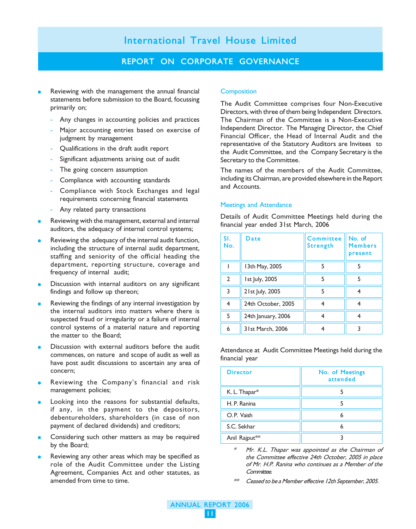#### REPORT ON CORPORATE GOVERNANCE

- Reviewing with the management the annual financial statements before submission to the Board, focussing primarily on;
	- Any changes in accounting policies and practices
	- Major accounting entries based on exercise of judgment by management
	- Qualifications in the draft audit report
	- Significant adjustments arising out of audit
	- The going concern assumption
	- Compliance with accounting standards
	- Compliance with Stock Exchanges and legal requirements concerning financial statements
	- Any related party transactions
- Reviewing with the management, external and internal auditors, the adequacy of internal control systems;
- Reviewing the adequacy of the internal audit function, including the structure of internal audit department, staffing and seniority of the official heading the department, reporting structure, coverage and frequency of internal audit;
- Discussion with internal auditors on any significant findings and follow up thereon;
- Reviewing the findings of any internal investigation by the internal auditors into matters where there is suspected fraud or irregularity or a failure of internal control systems of a material nature and reporting the matter to the Board;
- Discussion with external auditors before the audit commences, on nature and scope of audit as well as have post audit discussions to ascertain any area of concern;
- Reviewing the Company's financial and risk management policies;
- Looking into the reasons for substantial defaults, if any, in the payment to the depositors, debentureholders, shareholders (in case of non payment of declared dividends) and creditors;
- Considering such other matters as may be required by the Board;
- Reviewing any other areas which may be specified as role of the Audit Committee under the Listing Agreement, Companies Act and other statutes, as amended from time to time.

#### **Composition**

The Audit Committee comprises four Non-Executive Directors, with three of them being Independent Directors. The Chairman of the Committee is a Non-Executive Independent Director. The Managing Director, the Chief Financial Officer, the Head of Internal Audit and the representative of the Statutory Auditors are Invitees to the Audit Committee, and the Company Secretary is the Secretary to the Committee.

The names of the members of the Audit Committee, including its Chairman, are provided elsewhere in the Report and Accounts.

#### Meetings and Attendance

Details of Audit Committee Meetings held during the financial year ended 31st March, 2006

| SI.<br>No.   | Date               | Committee<br><b>Strength</b> | No. of<br><b>Members</b><br>present |
|--------------|--------------------|------------------------------|-------------------------------------|
|              | 13th May, 2005     |                              |                                     |
| $\mathbf{2}$ | 1st July, 2005     | 5                            | 5                                   |
| 3            | 21st July, 2005    |                              |                                     |
| 4            | 24th October, 2005 |                              |                                     |
| 5            | 24th January, 2006 |                              |                                     |
| 6            | 31st March, 2006   |                              |                                     |

Attendance at Audit Committee Meetings held during the financial year

| <b>Director</b> | No. of Meetings<br>attended |
|-----------------|-----------------------------|
| K. L. Thapar*   |                             |
| H. P. Ranina    |                             |
| O.P. Vaish      | 6                           |
| S.C. Sekhar     |                             |
| Anil Rajput**   |                             |

- Mr. K.L. Thapar was appointed as the Chairman of the Committee effective 24th October, 2005 in place of Mr. H.P. Ranina who continues as a Member of the Committee.
- Ceased to be a Member effective 12th September, 2005.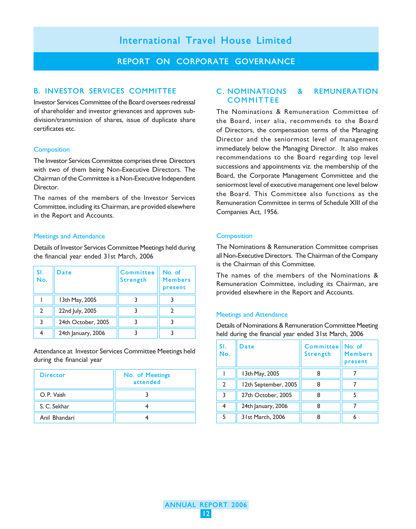#### REPORT ON CORPORATE GOVERNANCE

#### B. INVESTOR SERVICES COMMITTEE

Investor Services Committee of the Board oversees redressal of shareholder and investor grievances and approves subdivision/transmission of shares, issue of duplicate share certificates etc.

#### **Composition**

The Investor Services Committee comprises three Directors with two of them being Non-Executive Directors. The Chairman of the Committee is a Non-Executive Independent Director.

The names of the members of the Investor Services Committee, including its Chairman, are provided elsewhere in the Report and Accounts.

#### Meetings and Attendance

Details of Investor Services Committee Meetings held during the financial year ended 31st March, 2006

| SI.<br>No. | Date               | <b>Committee</b><br><b>Strength</b> | No. of<br><b>Members</b><br>present |
|------------|--------------------|-------------------------------------|-------------------------------------|
|            | 13th May, 2005     |                                     |                                     |
|            | 22nd July, 2005    |                                     |                                     |
|            | 24th October, 2005 |                                     |                                     |
|            | 24th January, 2006 |                                     |                                     |

Attendance at Investor Services Committee Meetings held during the financial year

| <b>Director</b> | No. of Meetings<br>attended |
|-----------------|-----------------------------|
| O.P. Vaish      |                             |
| S. C. Sekhar    |                             |
| Anil Bhandari   |                             |

#### C. NOMINATIONS & REMUNERATION **COMMITTEE**

The Nominations & Remuneration Committee of the Board, inter alia, recommends to the Board of Directors, the compensation terms of the Managing Director and the seniormost level of management immediately below the Managing Director. It also makes recommendations to the Board regarding top level successions and appointments viz. the membership of the Board, the Corporate Management Committee and the seniormost level of executive management one level below the Board. This Committee also functions as the Remuneration Committee in terms of Schedule XIII of the Companies Act, 1956.

#### **Composition**

The Nominations & Remuneration Committee comprises all Non-Executive Directors. The Chairman of the Company is the Chairman of this Committee.

The names of the members of the Nominations & Remuneration Committee, including its Chairman, are provided elsewhere in the Report and Accounts.

#### Meetings and Attendance

Details of Nominations & Remuneration Committee Meeting held during the financial year ended 31st March, 2006

| SI.<br>No.     | Date                 | <b>Committee</b><br><b>Strength</b> | No. of<br><b>Members</b><br>present |
|----------------|----------------------|-------------------------------------|-------------------------------------|
|                | 13th May, 2005       |                                     |                                     |
| $\mathfrak{p}$ | 12th September, 2005 | 8                                   |                                     |
| 3              | 27th October, 2005   |                                     |                                     |
| 4              | 24th January, 2006   |                                     |                                     |
| 5              | 31st March, 2006     |                                     | 6                                   |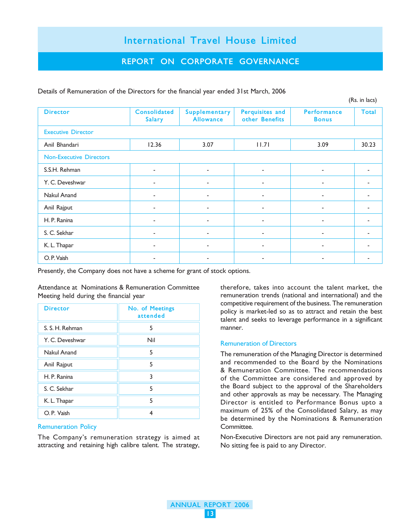### REPORT ON CORPORATE GOVERNANCE

|                                |                          |                                   |                                   |                             | (Rs. in lacs)  |
|--------------------------------|--------------------------|-----------------------------------|-----------------------------------|-----------------------------|----------------|
| <b>Director</b>                | Consolidated<br>Salary   | Supplementary<br><b>Allowance</b> | Perquisites and<br>other Benefits | Performance<br><b>Bonus</b> | Total          |
| <b>Executive Director</b>      |                          |                                   |                                   |                             |                |
| Anil Bhandari                  | 12.36                    | 3.07                              | 11.7                              | 3.09                        | 30.23          |
| <b>Non-Executive Directors</b> |                          |                                   |                                   |                             |                |
| S.S.H. Rehman                  | $\overline{\phantom{a}}$ | ۰.                                | $\overline{\phantom{a}}$          | $\overline{\phantom{a}}$    | ٠              |
| Y. C. Deveshwar                | ۰                        | ۰                                 |                                   | $\overline{\phantom{a}}$    | ۰              |
| Nakul Anand                    | ٠                        | ٠                                 | $\overline{a}$                    |                             | $\blacksquare$ |
| Anil Rajput                    | $\overline{\phantom{a}}$ | ۰.                                | $\overline{\phantom{a}}$          | $\overline{\phantom{a}}$    | ٠              |
| H. P. Ranina                   | $\blacksquare$           |                                   |                                   |                             |                |
| S. C. Sekhar                   | ٠                        | ٠                                 | $\overline{\phantom{a}}$          | $\overline{\phantom{a}}$    | ٠              |
| K. L. Thapar                   | ٠                        | ۰.                                | $\overline{\phantom{a}}$          | $\overline{\phantom{a}}$    | ٠              |
| O.P. Vaish                     | $\blacksquare$           |                                   |                                   |                             |                |

Details of Remuneration of the Directors for the financial year ended 31st March, 2006

Presently, the Company does not have a scheme for grant of stock options.

Attendance at Nominations & Remuneration Committee Meeting held during the financial year

| <b>Director</b> | No. of Meetings<br>attended |
|-----------------|-----------------------------|
| S. S. H. Rehman | 5                           |
| Y. C. Deveshwar | Nil                         |
| Nakul Anand     | 5                           |
| Anil Rajput     | 5                           |
| H. P. Ranina    | 3                           |
| S. C. Sekhar    | 5                           |
| K. L. Thapar    | 5                           |
| O.P. Vaish      | 4                           |

#### Remuneration Policy

The Company's remuneration strategy is aimed at attracting and retaining high calibre talent. The strategy,

therefore, takes into account the talent market, the remuneration trends (national and international) and the competitive requirement of the business. The remuneration policy is market-led so as to attract and retain the best talent and seeks to leverage performance in a significant manner.

#### Remuneration of Directors

The remuneration of the Managing Director is determined and recommended to the Board by the Nominations & Remuneration Committee. The recommendations of the Committee are considered and approved by the Board subject to the approval of the Shareholders and other approvals as may be necessary. The Managing Director is entitled to Performance Bonus upto a maximum of 25% of the Consolidated Salary, as may be determined by the Nominations & Remuneration Committee.

Non-Executive Directors are not paid any remuneration. No sitting fee is paid to any Director.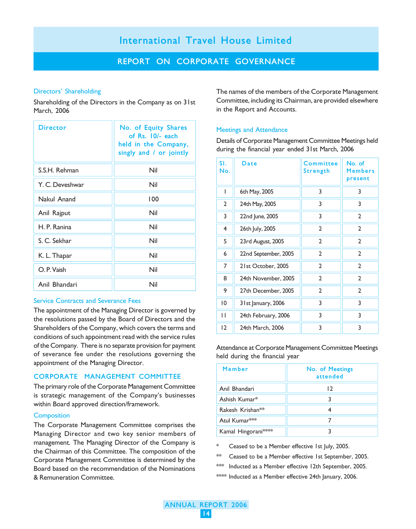### REPORT ON CORPORATE GOVERNANCE

#### Directors' Shareholding

Shareholding of the Directors in the Company as on 31st March, 2006

| <b>Director</b> | No. of Equity Shares<br>of Rs. 10/- each<br>held in the Company,<br>singly and / or jointly |
|-----------------|---------------------------------------------------------------------------------------------|
| S.S.H. Rehman   | Nil                                                                                         |
| Y. C. Deveshwar | Nil                                                                                         |
| Nakul Anand     | 100                                                                                         |
| Anil Rajput     | Nil                                                                                         |
| H. P. Ranina    | Nil                                                                                         |
| S. C. Sekhar    | Nil                                                                                         |
| K. L. Thapar    | Nil                                                                                         |
| O. P. Vaish     | Nil                                                                                         |
| Anil Bhandari   | Nil                                                                                         |

#### Service Contracts and Severance Fees

The appointment of the Managing Director is governed by the resolutions passed by the Board of Directors and the Shareholders of the Company, which covers the terms and conditions of such appointment read with the service rules of the Company. There is no separate provision for payment of severance fee under the resolutions governing the appointment of the Managing Director.

#### CORPORATE MANAGEMENT COMMITTEE

The primary role of the Corporate Management Committee is strategic management of the Company's businesses within Board approved direction/framework.

#### **Composition**

The Corporate Management Committee comprises the Managing Director and two key senior members of management. The Managing Director of the Company is the Chairman of this Committee. The composition of the Corporate Management Committee is determined by the Board based on the recommendation of the Nominations & Remuneration Committee.

The names of the members of the Corporate Management Committee, including its Chairman, are provided elsewhere in the Report and Accounts.

#### Meetings and Attendance

Details of Corporate Management Committee Meetings held during the financial year ended 31st March, 2006

| SI.<br>No.     | Date                 | <b>Committee</b><br>Strength | No. of<br><b>Members</b><br>present |
|----------------|----------------------|------------------------------|-------------------------------------|
| I              | 6th May, 2005        | 3                            | 3                                   |
| $\overline{2}$ | 24th May, 2005       | 3                            | 3                                   |
| 3              | 22nd June, 2005      | 3                            | $\overline{2}$                      |
| 4              | 26th July, 2005      | $\overline{2}$               | $\overline{2}$                      |
| 5              | 23rd August, 2005    | 2                            | $\overline{2}$                      |
| 6              | 22nd September, 2005 | $\overline{2}$               | $\overline{2}$                      |
| 7              | 21st October, 2005   | 2                            | $\overline{2}$                      |
| 8              | 24th November, 2005  | $\overline{2}$               | $\overline{2}$                      |
| 9              | 27th December, 2005  | 2                            | $\overline{2}$                      |
| 10             | 3 I st January, 2006 | 3                            | 3                                   |
| П              | 24th February, 2006  | 3                            | 3                                   |
| 12             | 24th March, 2006     | 3                            | 3                                   |

Attendance at Corporate Management Committee Meetings held during the financial year

| Member                       | No. of Meetings<br>attended |
|------------------------------|-----------------------------|
| Anil Bhandari                | 12                          |
| Ashish Kumar*                |                             |
| Rakesh Krishan <sup>**</sup> |                             |
| Atul Kumar <sup>***</sup>    |                             |
| Kamal Hingorani***           |                             |

\* Ceased to be a Member effective 1st July, 2005.

\*\* Ceased to be a Member effective 1st September, 2005.

\*\*\* Inducted as a Member effective 12th September, 2005.

\*\*\*\* Inducted as a Member effective 24th January, 2006.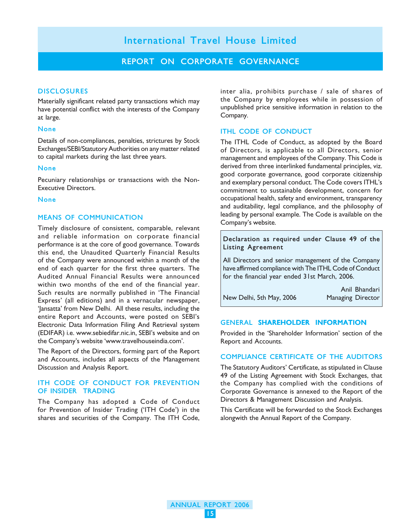#### REPORT ON CORPORATE GOVERNANCE

#### **DISCLOSURES**

Materially significant related party transactions which may have potential conflict with the interests of the Company at large.

#### None

Details of non-compliances, penalties, strictures by Stock Exchanges/SEBI/Statutory Authorities on any matter related to capital markets during the last three years.

#### None

Pecuniary relationships or transactions with the Non-Executive Directors.

#### None

#### MEANS OF COMMUNICATION

Timely disclosure of consistent, comparable, relevant and reliable information on corporate financial performance is at the core of good governance. Towards this end, the Unaudited Quarterly Financial Results of the Company were announced within a month of the end of each quarter for the first three quarters. The Audited Annual Financial Results were announced within two months of the end of the financial year. Such results are normally published in 'The Financial Express' (all editions) and in a vernacular newspaper, 'Jansatta' from New Delhi. All these results, including the entire Report and Accounts, were posted on SEBI's Electronic Data Information Filing And Retrieval system (EDIFAR) i.e. www.sebiedifar.nic.in, SEBI's website and on the Company's website 'www.travelhouseindia.com'.

The Report of the Directors, forming part of the Report and Accounts, includes all aspects of the Management Discussion and Analysis Report.

#### ITH CODE OF CONDUCT FOR PREVENTION OF INSIDER TRADING

The Company has adopted a Code of Conduct for Prevention of Insider Trading ('ITH Code') in the shares and securities of the Company. The ITH Code,

inter alia, prohibits purchase / sale of shares of the Company by employees while in possession of unpublished price sensitive information in relation to the Company.

#### ITHL CODE OF CONDUCT

The ITHL Code of Conduct, as adopted by the Board of Directors, is applicable to all Directors, senior management and employees of the Company. This Code is derived from three interlinked fundamental principles, viz. good corporate governance, good corporate citizenship and exemplary personal conduct. The Code covers ITHL's commitment to sustainable development, concern for occupational health, safety and environment, transparency and auditability, legal compliance, and the philosophy of leading by personal example. The Code is available on the Company's website.

Declaration as required under Clause 49 of the Listing Agreement

All Directors and senior management of the Company have affirmed compliance with The ITHL Code of Conduct for the financial year ended 31st March, 2006.

New Delhi, 5th May, 2006 Managing Director

Anil Bhandari

#### GENERAL SHAREHOLDER INFORMATION

Provided in the 'Shareholder Information' section of the Report and Accounts.

#### COMPLIANCE CERTIFICATE OF THE AUDITORS

The Statutory Auditors' Certificate, as stipulated in Clause 49 of the Listing Agreement with Stock Exchanges, that the Company has complied with the conditions of Corporate Governance is annexed to the Report of the Directors & Management Discussion and Analysis.

This Certificate will be forwarded to the Stock Exchanges alongwith the Annual Report of the Company.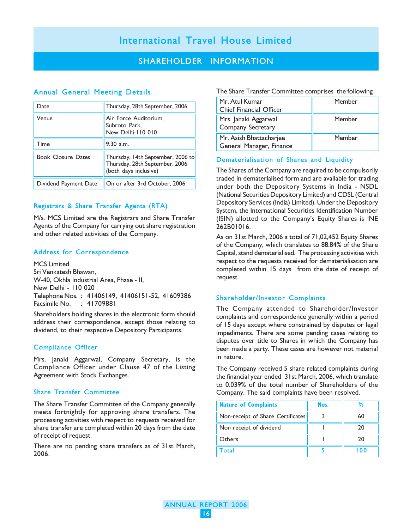### SHAREHOLDER INFORMATION

#### Annual General Meeting Details

| Date                      | Thursday, 28th September, 2006                                                               |
|---------------------------|----------------------------------------------------------------------------------------------|
| Venue                     | Air Force Auditorium,<br>Subroto Park,<br>New Delhi-110 010                                  |
| Time                      | $9.30$ a.m.                                                                                  |
| <b>Book Closure Dates</b> | Thursday, 14th September, 2006 to<br>Thursday, 28th September, 2006<br>(both days inclusive) |
| Dividend Payment Date     | On or after 3rd October, 2006                                                                |

#### Registrars & Share Transfer Agents (RTA)

M/s. MCS Limited are the Registrars and Share Transfer Agents of the Company for carrying out share registration and other related activities of the Company.

#### Address for Correspondence

MCS Limited Sri Venkatesh Bhawan, W-40, Okhla Industrial Area, Phase - II, New Delhi - 110 020 Telephone Nos. : 41406149, 41406151-52, 41609386  $: 41709881$ 

Shareholders holding shares in the electronic form should address their correspondence, except those relating to dividend, to their respective Depository Participants.

#### Compliance Officer

Mrs. Janaki Aggarwal, Company Secretary, is the Compliance Officer under Clause 47 of the Listing Agreement with Stock Exchanges.

#### Share Transfer Committee

The Share Transfer Committee of the Company generally meets fortnightly for approving share transfers. The processing activities with respect to requests received for share transfer are completed within 20 days from the date of receipt of request.

There are no pending share transfers as of 31st March, 2006.

The Share Transfer Committee comprises the following

| Mr. Atul Kumar<br>Chief Financial Officer           | Member |
|-----------------------------------------------------|--------|
| Mrs. Janaki Aggarwal<br>Company Secretary           | Member |
| Mr. Asish Bhattacharjee<br>General Manager, Finance | Member |

#### Dematerialisation of Shares and Liquidity

The Shares of the Company are required to be compulsorily traded in dematerialised form and are available for trading under both the Depository Systems in India - NSDL (National Securities Depository Limited) and CDSL (Central Depository Services (India) Limited). Under the Depository System, the International Securities Identification Number (ISIN) allotted to the Company's Equity Shares is INE 262B01016.

As on 31st March, 2006 a total of 71,02,452 Equity Shares of the Company, which translates to 88.84% of the Share Capital, stand dematerialised. The processing activities with respect to the requests received for dematerialisation are completed within 15 days from the date of receipt of request.

#### Shareholder/Investor Complaints

The Company attended to Shareholder/Investor complaints and correspondence generally within a period of 15 days except where constrained by disputes or legal impediments. There are some pending cases relating to disputes over title to Shares in which the Company has been made a party. These cases are however not material in nature.

The Company received 5 share related complaints during the financial year ended 31st March, 2006, which translate to 0.039% of the total number of Shareholders of the Company. The said complaints have been resolved.

| <b>Nature of Complaints</b>       | Nos. |     |
|-----------------------------------|------|-----|
| Non-receipt of Share Certificates |      | 60  |
| Non receipt of dividend           |      | 20  |
| Others                            |      | 20  |
| <sup>-</sup> Total                |      | 0۵. |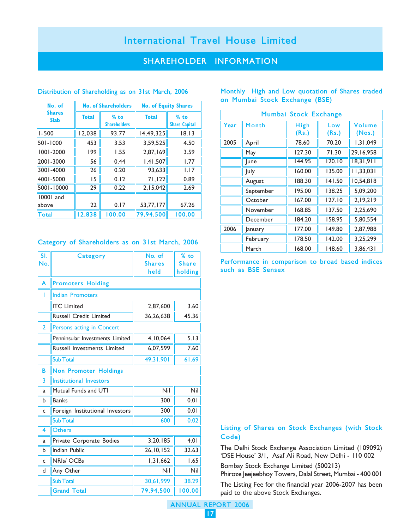### SHAREHOLDER INFORMATION

| No. of                       |              | <b>No. of Shareholders</b>    | <b>No. of Equity Shares</b> |                                |
|------------------------------|--------------|-------------------------------|-----------------------------|--------------------------------|
| <b>Shares</b><br><b>Slab</b> | <b>Total</b> | $%$ to<br><b>Shareholders</b> | <b>Total</b>                | $%$ to<br><b>Share Capital</b> |
| $1 - 500$                    | 12,038       | 93.77                         | 14,49,325                   | 18.13                          |
| 501-1000                     | 453          | 3.53                          | 3,59,525                    | 4.50                           |
| 1001-2000                    | 199          | 1.55                          | 2,87,169                    | 3.59                           |
| 2001-3000                    | 56           | 0.44                          | 1,41,507                    | 1.77                           |
| 3001-4000                    | 26           | 0.20                          | 93.633                      | 1.17                           |
| 4001-5000                    | 15           | 0.12                          | 71,122                      | 0.89                           |
| 5001-10000                   | 29           | 0.22                          | 2,15,042                    | 2.69                           |
| 10001 and                    |              |                               |                             |                                |
| above                        | 22           | 0.17                          | 53,77,177                   | 67.26                          |
| Total                        | 12,838       | 100.00                        | 79,94,500                   | 100.00                         |

#### Distribution of Shareholding as on 31st March, 2006

#### Category of Shareholders as on 31st March, 2006

| SI.            | Category                        | No. of        | % to         |
|----------------|---------------------------------|---------------|--------------|
| No.            |                                 | <b>Shares</b> | <b>Share</b> |
|                |                                 | held          | holding      |
| A              | <b>Promoters Holding</b>        |               |              |
| I              | <b>Indian Promoters</b>         |               |              |
|                | <b>ITC</b> Limited              | 2,87,600      | 3.60         |
|                | <b>Russell Credit Limited</b>   | 36,26,638     | 45.36        |
| $\overline{2}$ | Persons acting in Concert       |               |              |
|                | Penninsular Investments Limited | 4.10.064      | 5.13         |
|                | Russell Investments Limited     | 6,07,599      | 7.60         |
|                | <b>Sub Total</b>                | 49,31,901     | 61.69        |
| B              | <b>Non Promoter Holdings</b>    |               |              |
| 3              | Institutional Investors         |               |              |
| a              | Mutual Funds and UTI            | Nil           | Nil          |
| h              | <b>Banks</b>                    | 300           | 0.01         |
| C              | Foreign Institutional Investors | 300           | 0.01         |
|                | <b>Sub Total</b>                | 600           | 0.02         |
| 4              | <b>Others</b>                   |               |              |
| a              | Private Corporate Bodies        | 3,20,185      | 4.01         |
| b              | <b>Indian Public</b>            | 26, 10, 152   | 32.63        |
| Ċ              | NRIs/OCBs                       | 1,31,662      | 1.65         |
| d              | Any Other                       | Nil           | Nil          |
|                | <b>Sub Total</b>                | 30,61,999     | 38.29        |
|                | <b>Grand Total</b>              | 79,94,500     | 100.00       |

|  |  |                                | Monthly High and Low quotation of Shares traded |  |
|--|--|--------------------------------|-------------------------------------------------|--|
|  |  | on Mumbai Stock Exchange (BSE) |                                                 |  |

| Mumbai Stock Exchange |             |               |              |                         |  |  |
|-----------------------|-------------|---------------|--------------|-------------------------|--|--|
| Year                  | Month       | High<br>(Rs.) | Low<br>(Rs.) | <b>Volume</b><br>(Nos.) |  |  |
| 2005                  | April       | 78.60         | 70.20        | 1,31,049                |  |  |
|                       | May         | 127.30        | 71.30        | 29,16,958               |  |  |
|                       | <b>June</b> | 144.95        | 120.10       | 18,31,911               |  |  |
|                       | <b>July</b> | 160.00        | 135.00       | 11,33,031               |  |  |
|                       | August      | 188.30        | 141.50       | 10,54,818               |  |  |
|                       | September   | 195.00        | 138.25       | 5,09,200                |  |  |
|                       | October     | 167.00        | 127.10       | 2,19,219                |  |  |
|                       | November    | 168.85        | 137.50       | 2,25,690                |  |  |
|                       | December    | 184.20        | 158.95       | 5.80.554                |  |  |
| 2006                  | January     | 177.00        | 149.80       | 2,87,988                |  |  |
|                       | February    | 178.50        | 142.00       | 3,25,299                |  |  |
|                       | March       | 168.00        | 148.60       | 3,86,431                |  |  |

Performance in comparison to broad based indices such as BSE Sensex

#### Listing of Shares on Stock Exchanges (with Stock Code)

The Delhi Stock Exchange Association Limited (109092) 'DSE House' 3/1, Asaf Ali Road, New Delhi - 110 002

Bombay Stock Exchange Limited (500213)

Phiroze Jeejeebhoy Towers, Dalal Street, Mumbai - 400 001

The Listing Fee for the financial year 2006-2007 has been paid to the above Stock Exchanges.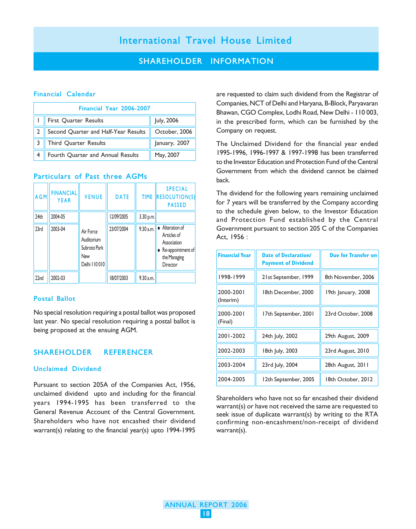#### SHAREHOLDER INFORMATION

#### Financial Calendar

| Financial Year 2006-2007             |               |  |  |  |
|--------------------------------------|---------------|--|--|--|
| First Quarter Results                | July, 2006    |  |  |  |
| Second Quarter and Half-Year Results | October, 2006 |  |  |  |
| Third Quarter Results                | January, 2007 |  |  |  |
| Fourth Quarter and Annual Results    | May, 2007     |  |  |  |

#### Particulars of Past three AGMs

| AGM              | <b>FINANCIAL</b><br><b>YEAR</b> | <b>VENUE</b>                                                    | <b>DATE</b> | <b>TIME</b> | <b>SPECIAL</b><br>$ $ RESOLUTION(S)<br><b>PASSED</b>                                             |
|------------------|---------------------------------|-----------------------------------------------------------------|-------------|-------------|--------------------------------------------------------------------------------------------------|
| 24th             | 2004-05                         |                                                                 | 12/09/2005  | 3.30 p.m.   |                                                                                                  |
| 23rd             | 2003-04                         | Air Force<br>Auditorium<br>Subroto Park<br>New<br>Delhi   10010 | 23/07/2004  | 9.30 a.m.   | • Alteration of<br>Articles of<br>Association<br>• Re-appointment of<br>the Managing<br>Director |
| 22 <sub>nd</sub> | 2002-03                         |                                                                 | 18/07/2003  | 9.30 a.m.   |                                                                                                  |

#### Postal Ballot

No special resolution requiring a postal ballot was proposed last year. No special resolution requiring a postal ballot is being proposed at the ensuing AGM.

#### SHAREHOLDER REFERENCER

#### Unclaimed Dividend

Pursuant to section 205A of the Companies Act, 1956, unclaimed dividend upto and including for the financial years 1994-1995 has been transferred to the General Revenue Account of the Central Government. Shareholders who have not encashed their dividend warrant(s) relating to the financial year(s) upto 1994-1995

are requested to claim such dividend from the Registrar of Companies, NCT of Delhi and Haryana, B-Block, Paryavaran Bhawan, CGO Complex, Lodhi Road, New Delhi - 110 003, in the prescribed form, which can be furnished by the Company on request.

The Unclaimed Dividend for the financial year ended 1995-1996, 1996-1997 & 1997-1998 has been transferred to the Investor Education and Protection Fund of the Central Government from which the dividend cannot be claimed back.

The dividend for the following years remaining unclaimed for 7 years will be transferred by the Company according to the schedule given below, to the Investor Education and Protection Fund established by the Central Government pursuant to section 205 C of the Companies Act, 1956 :

| <b>Financial Year</b>  | <b>Date of Declaration/</b><br><b>Payment of Dividend</b> | <b>Due for Transfer on</b> |
|------------------------|-----------------------------------------------------------|----------------------------|
| 1998-1999              | 21st September, 1999                                      | 8th November, 2006         |
| 2000-2001<br>(Interim) | 18th December, 2000                                       | 19th January, 2008         |
| 2000-2001<br>(Final)   | 17th September, 2001                                      | 23rd October, 2008         |
| 2001-2002              | 24th July, 2002                                           | 29th August, 2009          |
| 2002-2003              | 18th July, 2003                                           | 23rd August, 2010          |
| 2003-2004              | 23rd July, 2004                                           | 28th August, 2011          |
| 2004-2005              | l 2th September, 2005                                     | 18th October, 2012         |

Shareholders who have not so far encashed their dividend warrant(s) or have not received the same are requested to seek issue of duplicate warrant(s) by writing to the RTA confirming non-encashment/non-receipt of dividend warrant(s).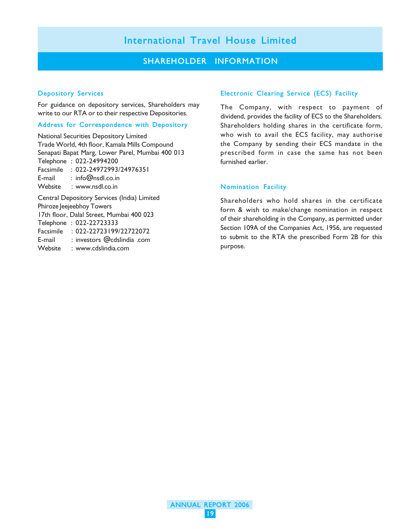### SHAREHOLDER INFORMATION

#### Depository Services

For guidance on depository services, Shareholders may write to our RTA or to their respective Depositories.

#### Address for Correspondence with Depository

National Securities Depository Limited Trade World, 4th floor, Kamala Mills Compound Senapati Bapat Marg, Lower Parel, Mumbai 400 013 Telephone : 022-24994200 Facsimile : 022-24972993/24976351 E-mail : info@nsdl.co.in Website : www.nsdl.co.in Central Depository Services (India) Limited Phiroze Jeejeebhoy Towers 17th floor, Dalal Street, Mumbai 400 023 Telephone : 022-22723333 Facsimile : 022-22723199/22722072 E-mail : investors @cdslindia .com Website : www.cdslindia.com

#### Electronic Clearing Service (ECS) Facility

The Company, with respect to payment of dividend, provides the facility of ECS to the Shareholders. Shareholders holding shares in the certificate form, who wish to avail the ECS facility, may authorise the Company by sending their ECS mandate in the prescribed form in case the same has not been furnished earlier.

#### Nomination Facility

Shareholders who hold shares in the certificate form & wish to make/change nomination in respect of their shareholding in the Company, as permitted under Section 109A of the Companies Act, 1956, are requested to submit to the RTA the prescribed Form 2B for this purpose.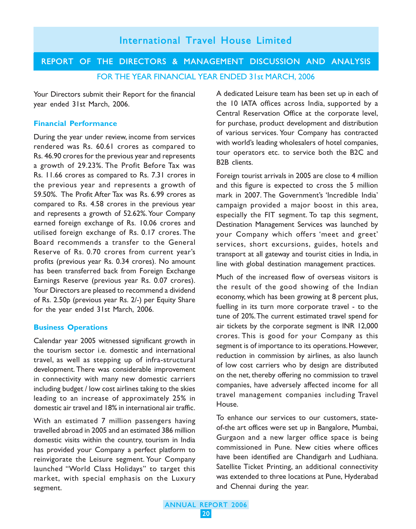### REPORT OF THE DIRECTORS & MANAGEMENT DISCUSSION AND ANALYSIS FOR THE YEAR FINANCIAL YEAR ENDED 31st MARCH, 2006

Your Directors submit their Report for the financial year ended 31st March, 2006.

#### **Financial Performance**

During the year under review, income from services rendered was Rs. 60.61 crores as compared to Rs. 46.90 crores for the previous year and represents a growth of 29.23%. The Profit Before Tax was Rs. 11.66 crores as compared to Rs. 7.31 crores in the previous year and represents a growth of 59.50%. The Profit After Tax was Rs. 6.99 crores as compared to Rs. 4.58 crores in the previous year and represents a growth of 52.62%. Your Company earned foreign exchange of Rs. 10.06 crores and utilised foreign exchange of Rs. 0.17 crores. The Board recommends a transfer to the General Reserve of Rs. 0.70 crores from current year's profits (previous year Rs. 0.34 crores). No amount has been transferred back from Foreign Exchange Earnings Reserve (previous year Rs. 0.07 crores). Your Directors are pleased to recommend a dividend of Rs. 2.50p (previous year Rs. 2/-) per Equity Share for the year ended 31st March, 2006.

#### **Business Operations**

Calendar year 2005 witnessed significant growth in the tourism sector i.e. domestic and international travel, as well as stepping up of infra-structural development. There was considerable improvement in connectivity with many new domestic carriers including budget / low cost airlines taking to the skies leading to an increase of approximately 25% in domestic air travel and 18% in international air traffic.

With an estimated 7 million passengers having travelled abroad in 2005 and an estimated 386 million domestic visits within the country, tourism in India has provided your Company a perfect platform to reinvigorate the Leisure segment. Your Company launched "World Class Holidays" to target this market, with special emphasis on the Luxury segment.

A dedicated Leisure team has been set up in each of the 10 IATA offices across India, supported by a Central Reservation Office at the corporate level, for purchase, product development and distribution of various services. Your Company has contracted with world's leading wholesalers of hotel companies, tour operators etc. to service both the B2C and B2B clients.

Foreign tourist arrivals in 2005 are close to 4 million and this figure is expected to cross the 5 million mark in 2007. The Government's 'Incredible India' campaign provided a major boost in this area, especially the FIT segment. To tap this segment, Destination Management Services was launched by your Company which offers 'meet and greet' services, short excursions, guides, hotels and transport at all gateway and tourist cities in India, in line with global destination management practices.

Much of the increased flow of overseas visitors is the result of the good showing of the Indian economy, which has been growing at 8 percent plus, fuelling in its turn more corporate travel - to the tune of 20%. The current estimated travel spend for air tickets by the corporate segment is INR 12,000 crores. This is good for your Company as this segment is of importance to its operations. However, reduction in commission by airlines, as also launch of low cost carriers who by design are distributed on the net, thereby offering no commission to travel companies, have adversely affected income for all travel management companies including Travel House.

To enhance our services to our customers, stateof-the art offices were set up in Bangalore, Mumbai, Gurgaon and a new larger office space is being commissioned in Pune. New cities where offices have been identified are Chandigarh and Ludhiana. Satellite Ticket Printing, an additional connectivity was extended to three locations at Pune, Hyderabad and Chennai during the year.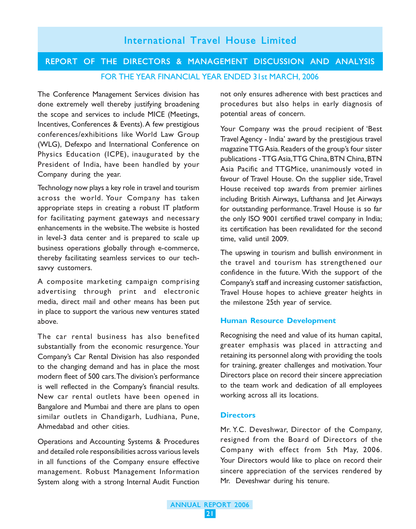### Operations and Accounting Systems & Procedures and detailed role responsibilities across various levels

**Directors**

Company with effect from 5th May, 2006. Your Directors would like to place on record their sincere appreciation of the services rendered by Mr. Deveshwar during his tenure.

Mr. Y.C. Deveshwar, Director of the Company, resigned from the Board of Directors of the

# 21

# The car rental business has also benefited substantially from the economic resurgence. Your Company's Car Rental Division has also responded to the changing demand and has in place the most modern fleet of 500 cars. The division's performance is well reflected in the Company's financial results.

New car rental outlets have been opened in Bangalore and Mumbai and there are plans to open similar outlets in Chandigarh, Ludhiana, Pune,

in all functions of the Company ensure effective management. Robust Management Information System along with a strong Internal Audit Function

Ahmedabad and other cities.

A composite marketing campaign comprising advertising through print and electronic media, direct mail and other means has been put in place to support the various new ventures stated above.

thereby facilitating seamless services to our techsavvy customers.

in level-3 data center and is prepared to scale up business operations globally through e-commerce,

Technology now plays a key role in travel and tourism across the world. Your Company has taken appropriate steps in creating a robust IT platform for facilitating payment gateways and necessary

The Conference Management Services division has done extremely well thereby justifying broadening the scope and services to include MICE (Meetings, Incentives, Conferences & Events). A few prestigious conferences/exhibitions like World Law Group (WLG), Defexpo and International Conference on Physics Education (ICPE), inaugurated by the President of India, have been handled by your

Company during the year.

enhancements in the website. The website is hosted

procedures but also helps in early diagnosis of potential areas of concern. Your Company was the proud recipient of 'Best

Travel Agency - India' award by the prestigious travel magazine TTG Asia. Readers of the group's four sister publications - TTG Asia, TTG China, BTN China, BTN Asia Pacific and TTGMice, unanimously voted in favour of Travel House. On the supplier side, Travel House received top awards from premier airlines including British Airways, Lufthansa and Jet Airways for outstanding performance. Travel House is so far the only ISO 9001 certified travel company in India; its certification has been revalidated for the second

The upswing in tourism and bullish environment in the travel and tourism has strengthened our confidence in the future. With the support of the Company's staff and increasing customer satisfaction, Travel House hopes to achieve greater heights in

Recognising the need and value of its human capital, greater emphasis was placed in attracting and retaining its personnel along with providing the tools for training, greater challenges and motivation. Your Directors place on record their sincere appreciation to the team work and dedication of all employees

not only ensures adherence with best practices and

REPORT OF THE DIRECTORS & MANAGEMENT DISCUSSION AND ANALYSIS FOR THE YEAR FINANCIAL YEAR ENDED 31st MARCH, 2006

time, valid until 2009.

the milestone 25th year of service.

**Human Resource Development**

working across all its locations.

# International Travel House Limited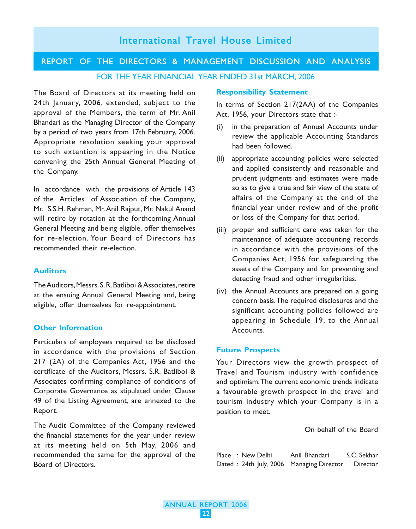# REPORT OF THE DIRECTORS & MANAGEMENT DISCUSSION AND ANALYSIS

FOR THE YEAR FINANCIAL YEAR ENDED 31st MARCH, 2006

The Board of Directors at its meeting held on 24th January, 2006, extended, subject to the approval of the Members, the term of Mr. Anil Bhandari as the Managing Director of the Company by a period of two years from 17th February, 2006. Appropriate resolution seeking your approval to such extention is appearing in the Notice convening the 25th Annual General Meeting of the Company.

In accordance with the provisions of Article 143 of the Articles of Association of the Company, Mr. S.S.H. Rehman, Mr. Anil Rajput, Mr. Nakul Anand will retire by rotation at the forthcoming Annual General Meeting and being eligible, offer themselves for re-election. Your Board of Directors has recommended their re-election.

#### **Auditors**

The Auditors, Messrs. S. R. Batliboi & Associates, retire at the ensuing Annual General Meeting and, being eligible, offer themselves for re-appointment.

#### **Other Information**

Particulars of employees required to be disclosed in accordance with the provisions of Section 217 (2A) of the Companies Act, 1956 and the certificate of the Auditors, Messrs. S.R. Batliboi & Associates confirming compliance of conditions of Corporate Governance as stipulated under Clause 49 of the Listing Agreement, are annexed to the Report.

The Audit Committee of the Company reviewed the financial statements for the year under review at its meeting held on 5th May, 2006 and recommended the same for the approval of the Board of Directors.

#### **Responsibility Statement**

In terms of Section 217(2AA) of the Companies Act, 1956, your Directors state that :-

- (i) in the preparation of Annual Accounts under review the applicable Accounting Standards had been followed.
- (ii) appropriate accounting policies were selected and applied consistently and reasonable and prudent judgments and estimates were made so as to give a true and fair view of the state of affairs of the Company at the end of the financial year under review and of the profit or loss of the Company for that period.
- (iii) proper and sufficient care was taken for the maintenance of adequate accounting records in accordance with the provisions of the Companies Act, 1956 for safeguarding the assets of the Company and for preventing and detecting fraud and other irregularities.
- (iv) the Annual Accounts are prepared on a going concern basis. The required disclosures and the significant accounting policies followed are appearing in Schedule 19, to the Annual Accounts.

#### **Future Prospects**

Your Directors view the growth prospect of Travel and Tourism industry with confidence and optimism. The current economic trends indicate a favourable growth prospect in the travel and tourism industry which your Company is in a position to meet.

On behalf of the Board

|  | Place : New Delhi | Anil Bhandari                            | S.C. Sekhar     |
|--|-------------------|------------------------------------------|-----------------|
|  |                   | Dated: 24th July, 2006 Managing Director | <b>Director</b> |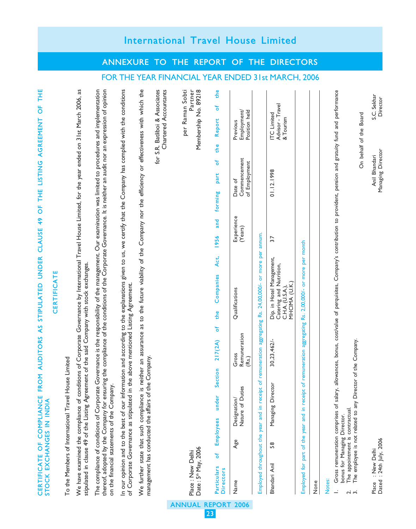| <b>CERTIFICATE</b>                                                                                                                                                                                                                                                                                                                                                              |                                                                                                          |
|---------------------------------------------------------------------------------------------------------------------------------------------------------------------------------------------------------------------------------------------------------------------------------------------------------------------------------------------------------------------------------|----------------------------------------------------------------------------------------------------------|
| To the Members of International Travel House Limited                                                                                                                                                                                                                                                                                                                            |                                                                                                          |
| We have examined the compliance of conditions of Corporate Governance by International Travel House Limited, for the year ended on 31st March 2006, as<br>stipulated in clause 49 of the Listing Agreement of the said Company with stock exchanges.                                                                                                                            |                                                                                                          |
| g the compliance of the conditions of the Corporate Governance. It is neither an audit nor an expression of opinion<br>The compliance of conditions of Corporate Governance is the responsibility of the management. Our examination was limited to procedures and implementation<br>thereof, adopted by the Company for ensurin<br>on the financial statements of the Company. |                                                                                                          |
| In our opinion and to the best of our information and according to the explanations given to us, we certify that the Company has complied with the conditions<br>of Corporate Governance as stipulated in the above mentioned Lis                                                                                                                                               |                                                                                                          |
| We further state that such compliance is neither an assurance as to the future viability of the Company nor the efficiency or effectiveness with which the<br>Company.<br>management has conducted the affairs of the                                                                                                                                                           |                                                                                                          |
|                                                                                                                                                                                                                                                                                                                                                                                 | for S.R. Batliboi & Associates<br>Chartered Accountants                                                  |
| Date: 5 <sup>th</sup> May, 2006<br>Place: New Delhi                                                                                                                                                                                                                                                                                                                             | FOR THE YEAR FINANCIAL YEAR ENDED 31st MARCH, 2006<br>per Raman Sobti<br>Partner<br>Membership No. 89218 |
| and<br>1956<br>Act,<br>Companies<br>the<br>ŏ<br>217(2A)<br>ction<br>မိ<br>under<br>Employees<br>đ<br>Particulars<br><b>Directors</b>                                                                                                                                                                                                                                            | the<br>۴<br>Report<br>the<br>ٔб<br>part<br>forming                                                       |
| Experience<br>(Years)<br>Qualifications<br>Remuneration<br>Gross<br>(Rs.)<br>Nature of Duties<br>Designation/<br>Age<br>Name                                                                                                                                                                                                                                                    | Employment/<br>Position held<br>Previous<br>Commencement<br>of Employment<br>Date of                     |
| Employed throughout the year and in receipt of remuneration aggregating Rs. 24,00,000/- or more per annum.                                                                                                                                                                                                                                                                      |                                                                                                          |
| 37<br>Dip. in Hotel Management,<br>Catering and Nutrition,<br>C.H.A. (U.S.A.),<br>MHCIMA (U.K.)<br>30,23,462/-<br>Managing Director<br>58<br>Bhandari Anil                                                                                                                                                                                                                      | Advisor - Travel<br><b>ITC</b> Limited<br>& Tourism<br>01.12.1998                                        |
| remuneration aggregating Rs. 2,00,000/- or more per month<br>Employed for part of the year and in receipt of<br>None                                                                                                                                                                                                                                                            |                                                                                                          |
| lowances, bonus, cost/value of perquisites, Company's contribution to provident, pension and gratuity fund and performance<br>Gross remuneration comprises of salary, al<br>bonus for Managing Director.<br>The appointment is contractual.<br>Notes:<br>$\overline{\mathcal{L}}$                                                                                               |                                                                                                          |
| The employee is not related to any Director of the Company.<br>$\dot{ }$                                                                                                                                                                                                                                                                                                        | On behalf of the Board                                                                                   |
| Dated: 24th July, 2006<br>Place : New Delhi                                                                                                                                                                                                                                                                                                                                     | S.C. Sekhar<br>Director<br>Managing Director<br>Anil Bhandari                                            |

CERTIFICATE OF COMPLIANCE FROM AUDITORS AS STIPULATED UNDER CLAUSE 49 OF THE LISTING AGREEMENT OF THE

CERTIFICATE OF COMPLIANCE FROM AUDITORS AS STIPULATED UNDER CLAUSE 49 OF THE LISTING AGREEMENT OF THE<br>STOCK EXCHANGES IN INDIA

STOCK EXCHANGES IN INDIA

# International Travel House Limited

ANNEXURE TO THE REPORT OF THE DIRECTORS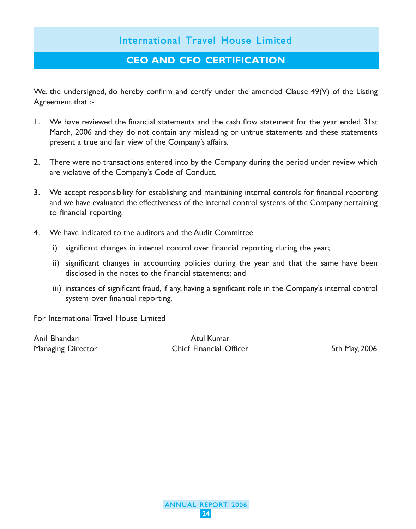### CEO AND CFO CERTIFICATION

We, the undersigned, do hereby confirm and certify under the amended Clause 49(V) of the Listing Agreement that :-

- 1. We have reviewed the financial statements and the cash flow statement for the year ended 31st March, 2006 and they do not contain any misleading or untrue statements and these statements present a true and fair view of the Company's affairs.
- 2. There were no transactions entered into by the Company during the period under review which are violative of the Company's Code of Conduct.
- 3. We accept responsibility for establishing and maintaining internal controls for financial reporting and we have evaluated the effectiveness of the internal control systems of the Company pertaining to financial reporting.
- 4. We have indicated to the auditors and the Audit Committee
	- i) significant changes in internal control over financial reporting during the year;
	- ii) significant changes in accounting policies during the year and that the same have been disclosed in the notes to the financial statements; and
	- iii) instances of significant fraud, if any, having a significant role in the Company's internal control system over financial reporting.

For International Travel House Limited

Anil Bhandari **Atul Kumar** Atul Kumar

Managing Director **Chief Financial Officer** 5th May, 2006

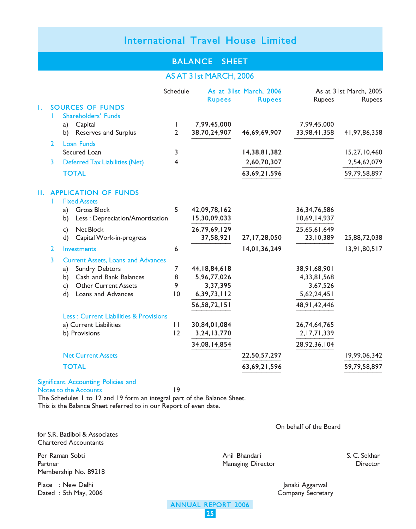### BALANCE SHEET

### AS AT 31st MARCH, 2006

|    |                |          |                                                   | Schedule            |                         | As at 31st March, 2006 |                         | As at 31st March, 2005 |
|----|----------------|----------|---------------------------------------------------|---------------------|-------------------------|------------------------|-------------------------|------------------------|
| Τ. |                |          | <b>SOURCES OF FUNDS</b>                           |                     | <b>Rupees</b>           | <b>Rupees</b>          | Rupees                  | Rupees                 |
|    |                |          | Shareholders' Funds                               |                     |                         |                        |                         |                        |
|    |                | a)       | Capital                                           | I.                  | 7,99,45,000             |                        | 7,99,45,000             |                        |
|    |                | b)       | Reserves and Surplus                              | $\overline{2}$      | 38,70,24,907            | 46,69,69,907           | 33,98,41,358            | 41,97,86,358           |
|    | $\mathbf{2}$   |          | Loan Funds                                        |                     |                         |                        |                         |                        |
|    |                |          | Secured Loan                                      | 3                   |                         | 14,38,81,382           |                         | 15,27,10,460           |
|    | 3              |          | <b>Deferred Tax Liabilities (Net)</b>             | 4                   |                         | 2,60,70,307            |                         | 2,54,62,079            |
|    |                |          | <b>TOTAL</b>                                      |                     |                         | 63,69,21,596           |                         | 59,79,58,897           |
|    |                |          | <b>II. APPLICATION OF FUNDS</b>                   |                     |                         |                        |                         |                        |
|    |                |          | <b>Fixed Assets</b>                               |                     |                         |                        |                         |                        |
|    |                | a)       | <b>Gross Block</b>                                | 5                   | 42,09,78,162            |                        | 36, 34, 76, 586         |                        |
|    |                | b)       | Less: Depreciation/Amortisation                   |                     | 15,30,09,033            |                        | 10,69,14,937            |                        |
|    |                | c)       | Net Block                                         |                     | 26,79,69,129            |                        | 25,65,61,649            |                        |
|    |                | d)       | Capital Work-in-progress                          |                     | 37,58,921               | 27,17,28,050           | 23,10,389               | 25,88,72,038           |
|    | $\overline{2}$ |          | <b>Investments</b>                                | 6                   |                         | 14,01,36,249           |                         | 13,91,80,517           |
|    | 3              |          | <b>Current Assets, Loans and Advances</b>         |                     |                         |                        |                         |                        |
|    |                | a)       | <b>Sundry Debtors</b>                             | $\overline{7}$      | 44, 18, 84, 618         |                        | 38,91,68,901            |                        |
|    |                | b)       | Cash and Bank Balances                            | 8                   | 5,96,77,026             |                        | 4,33,81,568             |                        |
|    |                | c)<br>d) | <b>Other Current Assets</b><br>Loans and Advances | 9<br>$\overline{0}$ | 3,37,395<br>6,39,73,112 |                        | 3,67,526<br>5,62,24,451 |                        |
|    |                |          |                                                   |                     |                         |                        |                         |                        |
|    |                |          |                                                   |                     | 56,58,72,151            |                        | 48, 91, 42, 446         |                        |
|    |                |          | <b>Less: Current Liabilities &amp; Provisions</b> |                     |                         |                        |                         |                        |
|    |                |          | a) Current Liabilities                            | $\mathbf{L}$        | 30,84,01,084            |                        | 26,74,64,765            |                        |
|    |                |          | b) Provisions                                     | 12                  | 3,24,13,770             |                        | 2, 17, 71, 339          |                        |
|    |                |          |                                                   |                     | 34,08,14,854            |                        | 28,92,36,104            |                        |
|    |                |          | <b>Net Current Assets</b>                         |                     |                         | 22,50,57,297           |                         | 19,99,06,342           |
|    |                |          | <b>TOTAL</b>                                      |                     |                         | 63,69,21,596           |                         | 59,79,58,897           |

#### Significant Accounting Policies and Notes to the Accounts 19

The Schedules 1 to 12 and 19 form an integral part of the Balance Sheet. This is the Balance Sheet referred to in our Report of even date.

for S.R. Batliboi & Associates Chartered Accountants

Per Raman Sobti Anil Bhandari S. C. Sekhar Membership No. 89218

Place : New Delhi Janaki Aggarwal Dated : 5th May, 2006 **Company Secretary** 

On behalf of the Board

Managing Director

ANNUAL REPORT 2006 25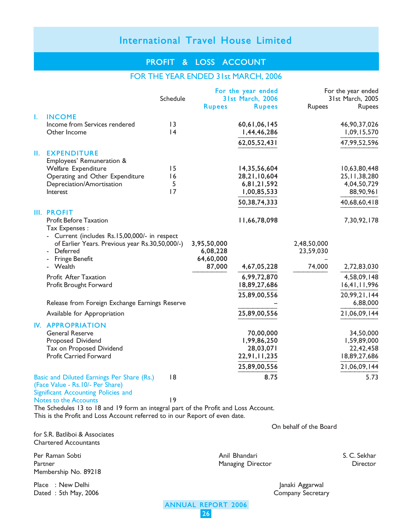### PROFIT & LOSS ACCOUNT

#### FOR THE YEAR ENDED 31st MARCH, 2006

|    |                                                     |          |               | For the year ended      |             | For the year ended |
|----|-----------------------------------------------------|----------|---------------|-------------------------|-------------|--------------------|
|    |                                                     | Schedule |               | <b>31st March, 2006</b> |             | 31st March, 2005   |
|    |                                                     |          | <b>Rupees</b> | <b>Rupees</b>           | Rupees      | Rupees             |
| Т. | <b>INCOME</b>                                       |          |               |                         |             |                    |
|    | Income from Services rendered                       | 13       |               | 60,61,06,145            |             | 46,90,37,026       |
|    | Other Income                                        | 4        |               | 1,44,46,286             |             | 1,09,15,570        |
|    |                                                     |          |               | 62,05,52,431            |             | 47,99,52,596       |
| Ш. | <b>EXPENDITURE</b>                                  |          |               |                         |             |                    |
|    | Employees' Remuneration &                           |          |               |                         |             |                    |
|    | Welfare Expenditure                                 | 15       |               | 14,35,56,604            |             | 10,63,80,448       |
|    | Operating and Other Expenditure                     | 16       |               | 28,21,10,604            |             | 25, 11, 38, 280    |
|    | Depreciation/Amortisation                           | 5        |               | 6,81,21,592             |             | 4,04,50,729        |
|    | Interest                                            | 17       |               | 1,00,85,533             |             | 88,90,961          |
|    |                                                     |          |               | 50,38,74,333            |             | 40,68,60,418       |
|    | <b>III. PROFIT</b><br><b>Profit Before Taxation</b> |          |               | 11,66,78,098            |             | 7,30,92,178        |
|    | Tax Expenses :                                      |          |               |                         |             |                    |
|    | - Current (includes Rs.15,00,000/- in respect       |          |               |                         |             |                    |
|    | of Earlier Years. Previous year Rs.30,50,000/-)     |          | 3,95,50,000   |                         | 2,48,50,000 |                    |
|    | - Deferred                                          |          | 6,08,228      |                         | 23,59,030   |                    |
|    | <b>Fringe Benefit</b>                               |          | 64,60,000     |                         |             |                    |
|    | Wealth                                              |          | 87,000        | 4,67,05,228             | 74,000      | 2,72,83,030        |
|    | Profit After Taxation                               |          |               | 6,99,72,870             |             | 4,58,09,148        |
|    | Profit Brought Forward                              |          |               | 18,89,27,686            |             | 16,41,11,996       |
|    |                                                     |          |               | 25,89,00,556            |             | 20,99,21,144       |
|    | Release from Foreign Exchange Earnings Reserve      |          |               |                         |             | 6,88,000           |
|    | Available for Appropriation                         |          |               | 25,89,00,556            |             | 21,06,09,144       |
|    | <b>IV. APPROPRIATION</b>                            |          |               |                         |             |                    |
|    | <b>General Reserve</b>                              |          |               | 70,00,000               |             | 34,50,000          |
|    | Proposed Dividend                                   |          |               | 1,99,86,250             |             | 1,59,89,000        |
|    | Tax on Proposed Dividend                            |          |               | 28,03,071               |             | 22,42,458          |
|    | Profit Carried Forward                              |          |               | 22,91,11,235            |             | 18,89,27,686       |
|    |                                                     |          |               | 25,89,00,556            |             | 21,06,09,144       |
|    | Basic and Diluted Earnings Per Share (Rs.)          | 8        |               | 8.75                    |             | 5.73               |
|    | (Face Value - Rs. 10/- Per Share)                   |          |               |                         |             |                    |

Significant Accounting Policies and Notes to the Accounts 19

The Schedules 13 to 18 and 19 form an integral part of the Profit and Loss Account. This is the Profit and Loss Account referred to in our Report of even date.

On behalf of the Board

for S.R. Batliboi & Associates Chartered Accountants

Per Raman Sobti Anil Bhandari S. C. Sekhar Partner Managing Director Membership No. 89218

Place : New Delhi Janaki Aggarwal Dated : 5th May, 2006 **Company Secretary** 

ANNUAL REPORT 2006 26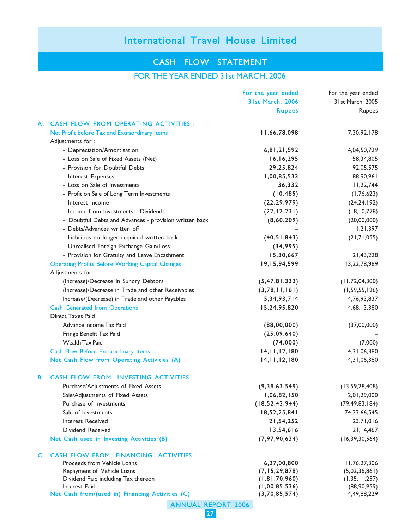### CASH FLOW STATEMENT

### FOR THE YEAR ENDED 31st MARCH, 2006

|    |                                                                   | For the year ended      | For the year ended |
|----|-------------------------------------------------------------------|-------------------------|--------------------|
|    |                                                                   | <b>31st March, 2006</b> | 31st March, 2005   |
|    |                                                                   | <b>Rupees</b>           | Rupees             |
|    | A. CASH FLOW FROM OPERATING ACTIVITIES :                          |                         |                    |
|    | Net Profit before Tax and Extraordinary Items                     | 11,66,78,098            | 7,30,92,178        |
|    | Adjustments for :                                                 |                         |                    |
|    | - Depreciation/Amortisation                                       | 6,81,21,592             | 4,04,50,729        |
|    | - Loss on Sale of Fixed Assets (Net)                              | 16, 16, 295             | 58,34,805          |
|    | - Provision for Doubtful Debts                                    | 29,25,824               | 92,05,575          |
|    | - Interest Expenses                                               | 1,00,85,533             | 88,90,961          |
|    | - Loss on Sale of Investments                                     | 36,332                  | 11,22,744          |
|    | - Profit on Sale of Long Term Investments                         | (10, 485)               | (1,76,623)         |
|    | - Interest Income                                                 | (22, 29, 979)           | (24, 24, 192)      |
|    | - Income from Investments - Dividends                             | (22, 12, 231)           | (18, 10, 778)      |
|    | - Doubtful Debts and Advances - provision written back            | (8,60,209)              | (20,00,000)        |
|    | - Debts/Advances written off                                      |                         | 1,21,397           |
|    | - Liabilities no longer required written back                     | (40, 51, 843)           | (21,71,055)        |
|    | - Unrealised Foreign Exchange Gain/Loss                           | (34,995)                |                    |
|    | - Provision for Gratuity and Leave Encashment                     | 15,30,667               | 21,43,228          |
|    | <b>Operating Profits Before Working Capital Changes</b>           | 19,15,94,599            | 13,22,78,969       |
|    | Adjustments for :                                                 |                         |                    |
|    | (Increase)/Decrease in Sundry Debtors                             | (5, 47, 81, 332)        | (11, 72, 04, 300)  |
|    | (Increase)/Decrease in Trade and other Receivables                | (3,78,11,161)           | (1, 59, 55, 126)   |
|    | Increase/(Decrease) in Trade and other Payables                   | 5, 34, 93, 714          | 4,76,93,837        |
|    |                                                                   | 15,24,95,820            | 4,68,13,380        |
|    | <b>Cash Generated from Operations</b><br><b>Direct Taxes Paid</b> |                         |                    |
|    | Advance Income Tax Paid                                           |                         |                    |
|    | Fringe Benefit Tax Paid                                           | (88,00,000)             | (37,00,000)        |
|    | <b>Wealth Tax Paid</b>                                            | (25,09,640)             |                    |
|    |                                                                   | (74,000)                | (7,000)            |
|    | Cash Flow Before Extraordinary Items                              | 14, 11, 12, 180         | 4,31,06,380        |
|    | Net Cash Flow from Operating Activities (A)                       | 14, 11, 12, 180         | 4, 31, 06, 380     |
| В. | <b>CASH FLOW FROM INVESTING ACTIVITIES:</b>                       |                         |                    |
|    | Purchase/Adjustments of Fixed Assets                              | (9, 39, 63, 549)        | (13, 59, 28, 408)  |
|    | Sale/Adjustments of Fixed Assets                                  | 1,06,82,150             | 2,01,29,000        |
|    | Purchase of Investments                                           | (18, 52, 43, 944)       | (79, 49, 83, 184)  |
|    | Sale of Investments                                               | 18,52,25,841            | 74,23,66,545       |
|    | Interest Received                                                 | 21,54,252               | 23,71,016          |
|    | Dividend Received                                                 | 13,54,616               | 21,14,467          |
|    | Net Cash used in Investing Activities (B)                         | (7, 97, 90, 634)        | (16, 39, 30, 564)  |
|    | C. CASH FLOW FROM FINANCING ACTIVITIES :                          |                         |                    |
|    | Proceeds from Vehicle Loans                                       | 6,27,00,800             | 11,76,27,306       |
|    | Repayment of Vehicle Loans                                        | (7, 15, 29, 878)        | (5,02,36,861)      |
|    | Dividend Paid including Tax thereon                               | (1, 81, 70, 960)        | (1, 35, 11, 257)   |
|    | Interest Paid                                                     | (1,00,85,536)           | (88,90,959)        |
|    | Net Cash from/(used in) Financing Activities (C)                  | (3,70,85,574)           | 4,49,88,229        |
|    | <b>ANNUAL REPORT 2006</b>                                         |                         |                    |

27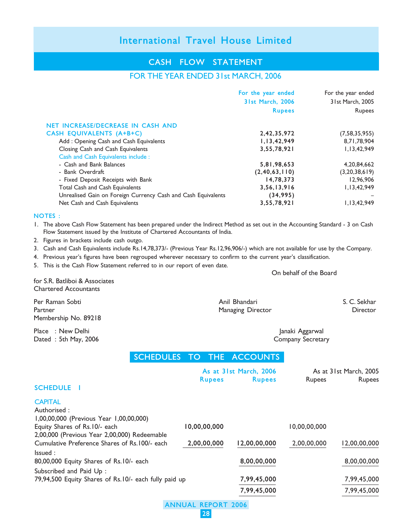### CASH FLOW STATEMENT

### FOR THE YEAR ENDED 31st MARCH, 2006

|                                                               | For the year ended | For the year ended |
|---------------------------------------------------------------|--------------------|--------------------|
|                                                               | 31st March, 2006   | 31st March, 2005   |
|                                                               | <b>Rupees</b>      | <b>Rupees</b>      |
| NET INCREASE/DECREASE IN CASH AND                             |                    |                    |
| CASH EQUIVALENTS (A+B+C)                                      | 2,42,35,972        | (7, 58, 35, 955)   |
| Add: Opening Cash and Cash Equivalents                        | 1, 13, 42, 949     | 8,71,78,904        |
| Closing Cash and Cash Equivalents                             | 3,55,78,921        | 1,13,42,949        |
| Cash and Cash Equivalents include :                           |                    |                    |
| - Cash and Bank Balances                                      | 5,81,98,653        | 4,20,84,662        |
| - Bank Overdraft                                              | (2, 40, 63, 110)   | (3,20,38,619)      |
| - Fixed Deposit Receipts with Bank                            | 14,78,373          | 12,96,906          |
| <b>Total Cash and Cash Equivalents</b>                        | 3,56,13,916        | 1, 13, 42, 949     |
| Unrealised Gain on Foreign Currency Cash and Cash Equivalents | (34,995)           |                    |
| Net Cash and Cash Equivalents                                 | 3,55,78,921        | 1, 13, 42, 949     |

#### NOTES :

1. The above Cash Flow Statement has been prepared under the Indirect Method as set out in the Accounting Standard - 3 on Cash Flow Statement issued by the Institute of Chartered Accountants of India.

- 2. Figures in brackets include cash outgo.
- 3. Cash and Cash Equivalents include Rs.14,78,373/- (Previous Year Rs.12,96,906/-) which are not available for use by the Company.
- 4. Previous year's figures have been regrouped wherever necessary to confirm to the current year's classification.
- 5. This is the Cash Flow Statement referred to in our report of even date.

On behalf of the Board

for S.R. Batliboi & Associates Chartered Accountants

Per Raman Sobti Anil Bhandari S. C. Sekhar Partner Managing Director Circuit Control Managing Director Circuit Circuit Director Membership No. 89218

Place : New Delhi Janaki Aggarwal Dated : 5th May, 2006 Company Secretary

### SCHEDULES TO THE ACCOUNTS

|                                                                          | As at 31st March, 2006 |               | As at 31st March, 2005 |               |
|--------------------------------------------------------------------------|------------------------|---------------|------------------------|---------------|
| <b>SCHEDULE I</b>                                                        | <b>Rupees</b>          | <b>Rupees</b> | <b>Rupees</b>          | <b>Rupees</b> |
| <b>CAPITAL</b>                                                           |                        |               |                        |               |
| Authorised:                                                              |                        |               |                        |               |
| 1,00,00,000 (Previous Year 1,00,00,000)<br>Equity Shares of Rs.10/- each | 10,00,00,000           |               | 10,00,00,000           |               |
| 2,00,000 (Previous Year 2,00,000) Redeemable                             |                        |               |                        |               |
| Cumulative Preference Shares of Rs. 100/- each                           | 2,00,00,000            | 12,00,00,000  | 2.00.00.000            | 12,00,00,000  |
| lssued:                                                                  |                        |               |                        |               |
| 80,00,000 Equity Shares of Rs.10/- each                                  |                        | 8,00,00,000   |                        | 8,00,00,000   |
| Subscribed and Paid Up:                                                  |                        |               |                        |               |
| 79,94,500 Equity Shares of Rs.10/- each fully paid up                    |                        | 7,99,45,000   |                        | 7,99,45,000   |
|                                                                          |                        | 7,99,45,000   |                        | 7,99,45,000   |

ANNUAL REPORT 2006 28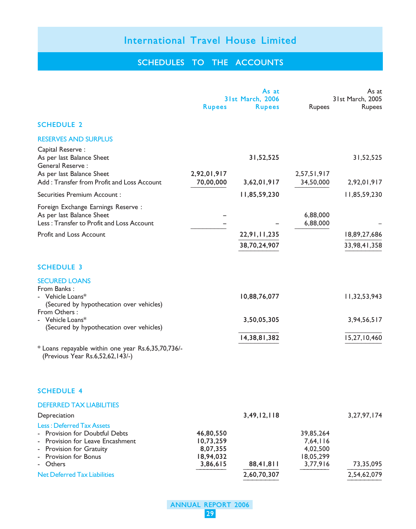### SCHEDULES TO THE ACCOUNTS

|                                                                                                                                                     |                                                 | As at            |                                                | As at            |
|-----------------------------------------------------------------------------------------------------------------------------------------------------|-------------------------------------------------|------------------|------------------------------------------------|------------------|
|                                                                                                                                                     |                                                 | 31st March, 2006 |                                                | 31st March, 2005 |
|                                                                                                                                                     | <b>Rupees</b>                                   | <b>Rupees</b>    | Rupees                                         | Rupees           |
| <b>SCHEDULE 2</b>                                                                                                                                   |                                                 |                  |                                                |                  |
| <b>RESERVES AND SURPLUS</b>                                                                                                                         |                                                 |                  |                                                |                  |
| Capital Reserve:<br>As per last Balance Sheet<br>General Reserve:<br>As per last Balance Sheet                                                      | 2,92,01,917                                     | 31,52,525        | 2,57,51,917                                    | 31,52,525        |
| Add: Transfer from Profit and Loss Account                                                                                                          | 70,00,000                                       | 3,62,01,917      | 34,50,000                                      | 2,92,01,917      |
| Securities Premium Account:                                                                                                                         |                                                 | 11,85,59,230     |                                                | 11,85,59,230     |
| Foreign Exchange Earnings Reserve :<br>As per last Balance Sheet<br>Less: Transfer to Profit and Loss Account                                       |                                                 |                  | 6,88,000<br>6,88,000                           |                  |
| Profit and Loss Account                                                                                                                             |                                                 | 22,91,11,235     |                                                | 18,89,27,686     |
|                                                                                                                                                     |                                                 | 38,70,24,907     |                                                | 33,98,41,358     |
| <b>SCHEDULE 3</b><br><b>SECURED LOANS</b>                                                                                                           |                                                 |                  |                                                |                  |
| From Banks:<br>- Vehicle Loans $*$<br>(Secured by hypothecation over vehicles)<br>From Others:                                                      |                                                 | 10,88,76,077     |                                                | 11,32,53,943     |
| - Vehicle Loans*<br>(Secured by hypothecation over vehicles)                                                                                        |                                                 | 3,50,05,305      |                                                | 3,94,56,517      |
|                                                                                                                                                     |                                                 | 14,38,81,382     |                                                | 15,27,10,460     |
| * Loans repayable within one year Rs.6,35,70,736/-<br>(Previous Year Rs.6,52,62,143/-)                                                              |                                                 |                  |                                                |                  |
| <b>SCHEDULE 4</b>                                                                                                                                   |                                                 |                  |                                                |                  |
| <b>DEFERRED TAX LIABILITIES</b>                                                                                                                     |                                                 |                  |                                                |                  |
| Depreciation                                                                                                                                        |                                                 | 3,49,12,118      |                                                | 3, 27, 97, 174   |
| <b>Less: Deferred Tax Assets</b><br>Provision for Doubtful Debts<br>Provision for Leave Encashment<br>Provision for Gratuity<br>Provision for Bonus | 46,80,550<br>10,73,259<br>8,07,355<br>18,94,032 |                  | 39,85,264<br>7,64,116<br>4,02,500<br>18,05,299 |                  |
| Others                                                                                                                                              | 3,86,615                                        | 88,41,811        | 3,77,916                                       | 73,35,095        |
| <b>Net Deferred Tax Liabilities</b>                                                                                                                 |                                                 | 2,60,70,307      |                                                | 2,54,62,079      |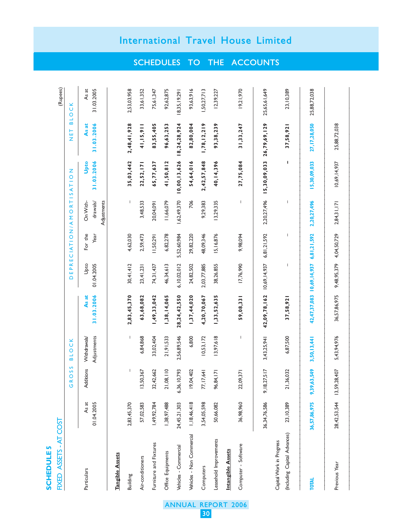|   | ∢ |
|---|---|
| m |   |
| п |   |
|   |   |
|   |   |
|   |   |
|   |   |
|   |   |
|   |   |

|               | upees)                | NET BLOCK                 |
|---------------|-----------------------|---------------------------|
|               |                       | DEPRECIATION/AMORTISATION |
|               | IXED ASSETS - AT COST | GROSS BLOCK               |
| י בבשטעות האי |                       |                           |

(Rupees)

| Particulars                                              | As at<br>01.04.2005 | Additions      | Adjustments<br>Withdrawals | 31.03.2006<br>As at       | Upto<br>01.04.2005                    | For the<br>Year | On With-<br>drawals/<br>Adjustments | 31.03.2006<br>Upto          | As at<br>31.03.2006 | As at<br>31.03.2005 |
|----------------------------------------------------------|---------------------|----------------|----------------------------|---------------------------|---------------------------------------|-----------------|-------------------------------------|-----------------------------|---------------------|---------------------|
| <b>Tangible Assets</b>                                   |                     |                |                            |                           |                                       |                 |                                     |                             |                     |                     |
| Building                                                 | 2,83,45,370         | I              | I                          | 2,83,45,370               | 30,41,412                             | 4,62,030        |                                     | 35,03,442                   | 2,48,41,928         | 2,53,03,958         |
| Air-conditioners                                         | 57,02,583           | 13,50,367      | 6,84,868                   | 63,68,082                 | 23,41,231                             | 2,59,473        | 3,48,533                            | 22,52,171                   | 41, 15, 911         | 33,61,352           |
| Furniture and Fixtures                                   | 1,49,92,784         | 32,42,662      | 33,02,404                  | 1,49,33,042               | 74,31,437                             | 11,50,291       | 20,04,091                           | 65,77,637                   | 83,55,405           | 75,61,347           |
| Office Equipments                                        | 1,38,97,488         | 21,08,110      | 21,91,533                  | 1,38,14,065               | 46,34,613                             | 6,82,278        | 11,66,079                           | 41,50,812                   | 96,63,253           | 92,62,875           |
| Vehicles - Commercial                                    | 24,45,21,303        | 6,36,10,793    | 2,56,89,546                | 28, 24, 42, 550           | 6,10,02,012                           | 5,52,60,984     | 1,62,49,370                         | $10,00,13,626$ 18,24,28,924 |                     | 18,35, 19,291       |
| Vehicles - Non Commercial                                | 1,18,46,418         | 19,04,402      | 6,800                      | 1,37,44,020               | 24,82,502                             | 29,82,220       | 706                                 | 54,64,016                   | 82,80,004           | 93,63,916           |
| Computers                                                | 3,54,05,598         | 77,17,641      | 10,53,172                  | 4,20,70,067               | 2,03,77,885                           | 48,09,346       | 9,29,383                            | 2,42,57,848                 | 1,78,12,219         | 50,27,713           |
| Leasehold Improvements                                   | 50,66,082           | 96,84,171      | 13,97,618                  | 1,33,52,635               | 38,26,855                             | 15,16,876       | 13,29,335                           | 40, 14, 396                 | 93,38,239           | 12,39,227           |
| <b>Intangible Assets</b>                                 |                     |                |                            |                           |                                       |                 |                                     |                             |                     |                     |
| Computer - Software                                      | 36,98,960           | 22,09,37       | $\overline{\phantom{a}}$   | 59,08,331                 | 17,76,990                             | 9,98,094        | I                                   | 27,75,084                   | 31, 33, 247         | 19,21,970           |
|                                                          | 36,34,76,586        | 9, 18, 27, 517 | 3,43,25,941                | 42,09,78,162 10,69,14,937 |                                       | 6,81,21,592     | 2,20,27,496                         | 15,30,09,033 26,79,69,129   |                     | 25,65,61,649        |
| (Including Capital Advances)<br>Capital Work in Progress | 23,10,389           | 21,36,032      | 6,87,500                   | 37,58,921                 | I                                     | I               | I                                   | ı                           | 37,58,92            | 23, 10, 389         |
| <b>TOTAL</b>                                             | 36,57,86,975        | 9,39,63,549    | 3,50,13,441                |                           | 42,47,37,083 10,69,14,937 6,81,21,592 |                 | 2,20,27,496                         | 15,30,09,033                | 27, 17, 28, 050     | 25,88,72,038        |

 $1010101$  36,57,86,975 9,39,63,549 3,50,13,441 42,47,37,083 10,69,14,937 6,81,21,592 2,20,27,496 15,30,09,033 27,17,28,050 25,88,72,038 ——————————————————————————————————————————————————————————————————————————————————————

Previous Year 28,42,53,544 13,59,28,407 5,43,94,976 36,57,86,975 9,48,95,379 4,04,50,729 2,84,31,171 10,69,14,937 25,88,72,038

5,43,94,976

28,42,53,544 13,59,28,407

Previous Year

36,57,86,975 9,48,95,379 4,04,50,729

25,88,72,038

10,69,14,937

2,84,31,171

——————————————————————————————————————————————————————————————————————————————————————

SCHEDULES TO THE ACCOUNTS

ANNUAL REPORT 2006

30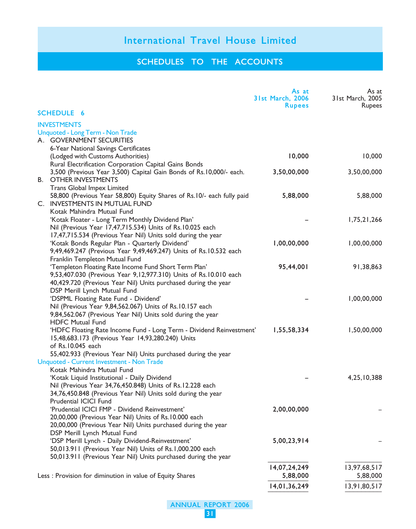### SCHEDULES TO THE ACCOUNTS

|                                                                                                                                     | As at<br>31st March, 2006<br><b>Rupees</b> | As at<br>31st March, 2005<br><b>Rupees</b> |
|-------------------------------------------------------------------------------------------------------------------------------------|--------------------------------------------|--------------------------------------------|
| <b>SCHEDULE 6</b>                                                                                                                   |                                            |                                            |
| <b>INVESTMENTS</b>                                                                                                                  |                                            |                                            |
| Unquoted - Long Term - Non Trade                                                                                                    |                                            |                                            |
| A. GOVERNMENT SECURITIES                                                                                                            |                                            |                                            |
| 6-Year National Savings Certificates                                                                                                |                                            |                                            |
| (Lodged with Customs Authorities)                                                                                                   | 10,000                                     | 10,000                                     |
| Rural Electrification Corporation Capital Gains Bonds                                                                               |                                            |                                            |
| 3,500 (Previous Year 3,500) Capital Gain Bonds of Rs.10,000/- each.                                                                 | 3,50,00,000                                | 3,50,00,000                                |
| <b>B. OTHER INVESTMENTS</b>                                                                                                         |                                            |                                            |
| Trans Global Impex Limited                                                                                                          |                                            |                                            |
| 58,800 (Previous Year 58,800) Equity Shares of Rs.10/- each fully paid<br>C. INVESTMENTS IN MUTUAL FUND                             | 5,88,000                                   | 5,88,000                                   |
| Kotak Mahindra Mutual Fund                                                                                                          |                                            |                                            |
| 'Kotak Floater - Long Term Monthly Dividend Plan'                                                                                   |                                            | 1,75,21,266                                |
| Nil (Previous Year 17,47,715.534) Units of Rs.10.025 each                                                                           |                                            |                                            |
| 17,47,715.534 (Previous Year Nil) Units sold during the year                                                                        |                                            |                                            |
| 'Kotak Bonds Regular Plan - Quarterly Dividend'                                                                                     | 1,00,00,000                                | 1,00,00,000                                |
| 9,49,469.247 (Previous Year 9,49,469.247) Units of Rs.10.532 each                                                                   |                                            |                                            |
| Franklin Templeton Mutual Fund                                                                                                      |                                            |                                            |
| 'Templeton Floating Rate Income Fund Short Term Plan'                                                                               | 95,44,001                                  | 91,38,863                                  |
| 9,53,407.030 (Previous Year 9,12,977.310) Units of Rs.10.010 each<br>40,429.720 (Previous Year Nil) Units purchased during the year |                                            |                                            |
| DSP Merill Lynch Mutual Fund                                                                                                        |                                            |                                            |
| 'DSPML Floating Rate Fund - Dividend'                                                                                               |                                            | 1,00,00,000                                |
| Nil (Previous Year 9,84,562.067) Units of Rs.10.157 each                                                                            |                                            |                                            |
| 9,84,562.067 (Previous Year Nil) Units sold during the year                                                                         |                                            |                                            |
| <b>HDFC Mutual Fund</b>                                                                                                             |                                            |                                            |
| 'HDFC Floating Rate Income Fund - Long Term - Dividend Reinvestment'                                                                | 1,55,58,334                                | 1,50,00,000                                |
| 15,48,683.173 (Previous Year 14,93,280.240) Units                                                                                   |                                            |                                            |
| of Rs.10.045 each                                                                                                                   |                                            |                                            |
| 55,402.933 (Previous Year Nil) Units purchased during the year                                                                      |                                            |                                            |
| Unquoted - Current Investment - Non Trade                                                                                           |                                            |                                            |
| Kotak Mahindra Mutual Fund                                                                                                          |                                            |                                            |
| 'Kotak Liquid Institutional - Daily Dividend                                                                                        |                                            | 4,25,10,388                                |
| Nil (Previous Year 34,76,450.848) Units of Rs.12.228 each                                                                           |                                            |                                            |
| 34,76,450.848 (Previous Year Nil) Units sold during the year                                                                        |                                            |                                            |
| Prudential ICICI Fund                                                                                                               |                                            |                                            |
| 'Prudential ICICI FMP - Dividend Reinvestment'                                                                                      | 2,00,00,000                                |                                            |
| 20,00,000 (Previous Year Nil) Units of Rs.10.000 each                                                                               |                                            |                                            |
| 20,00,000 (Previous Year Nil) Units purchased during the year<br>DSP Merill Lynch Mutual Fund                                       |                                            |                                            |
| 'DSP Merill Lynch - Daily Dividend-Reinvestment'                                                                                    | 5,00,23,914                                |                                            |
| 50,013.911 (Previous Year Nil) Units of Rs.1,000.200 each                                                                           |                                            |                                            |
| 50,013.911 (Previous Year Nil) Units purchased during the year                                                                      |                                            |                                            |
|                                                                                                                                     |                                            |                                            |
|                                                                                                                                     | 14,07,24,249                               | 13,97,68,517                               |
| Less : Provision for diminution in value of Equity Shares                                                                           | 5,88,000                                   | 5,88,000                                   |
|                                                                                                                                     | 14,01,36,249                               | 13,91,80,517                               |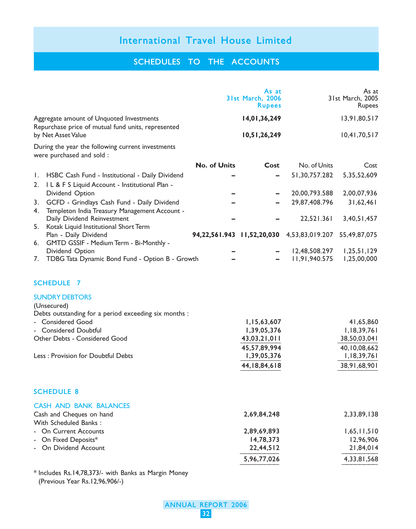### SCHEDULES TO THE ACCOUNTS

|          |                                                                                                           |                     | As at<br><b>31st March, 2006</b><br><b>Rupees</b> |                                            | As at<br>31st March, 2005<br>Rupees |
|----------|-----------------------------------------------------------------------------------------------------------|---------------------|---------------------------------------------------|--------------------------------------------|-------------------------------------|
|          | Aggregate amount of Unquoted Investments<br>Repurchase price of mutual fund units, represented            |                     | 14,01,36,249                                      |                                            | 13,91,80,517                        |
|          | by Net Asset Value                                                                                        |                     | 10,51,26,249                                      |                                            | 10,41,70,517                        |
|          | During the year the following current investments<br>were purchased and sold :                            |                     |                                                   |                                            |                                     |
|          |                                                                                                           | <b>No. of Units</b> | Cost                                              | No. of Units                               | Cost                                |
| Ι.<br>2. | HSBC Cash Fund - Institutional - Daily Dividend<br>I L & F S Liquid Account - Institutional Plan -        |                     |                                                   | 51,30,757.282                              | 5,35,52,609                         |
|          | Dividend Option                                                                                           |                     |                                                   | 20,00,793.588                              | 2,00,07,936                         |
| 3.<br>4. | GCFD - Grindlays Cash Fund - Daily Dividend<br>Templeton India Treasury Management Account -              |                     |                                                   | 29,87,408.796                              | 31,62,461                           |
|          | Daily Dividend Reinvestment                                                                               |                     |                                                   | 22,521.361                                 | 3,40,51,457                         |
| 5.<br>6. | Kotak Liquid Institutional Short Term<br>Plan - Daily Dividend<br>GMTD GSSIF - Medium Term - Bi-Monthly - |                     |                                                   | 94,22,561.943 11,52,20,030 4,53,83,019.207 | 55,49,87,075                        |
| 7.       | Dividend Option<br>TDBG Tata Dynamic Bond Fund - Option B - Growth                                        |                     |                                                   | 12,48,508.297<br>11,91,940.575             | 1,25,51,129<br>1,25,00,000          |
|          | <b>SCHEDULE 7</b>                                                                                         |                     |                                                   |                                            |                                     |
|          | <b>SUNDRY DEBTORS</b><br>(Unsecured)<br>Debts outstanding for a period exceeding six months :             |                     |                                                   |                                            |                                     |
|          | - Considered Good                                                                                         |                     | 1,15,63,607                                       |                                            | 41,65,860                           |
|          | - Considered Doubtful                                                                                     |                     | 1,39,05,376                                       |                                            | 1,18,39,761                         |
|          | Other Debts - Considered Good                                                                             |                     | 43,03,21,011                                      |                                            | 38,50,03,041                        |
|          | Less : Provision for Doubtful Debts                                                                       |                     | 45,57,89,994<br>1,39,05,376                       |                                            | 40,10,08,662<br>1,18,39,761         |
|          |                                                                                                           |                     | 44, 18, 84, 618                                   |                                            | 38,91,68,901                        |
|          | <b>SCHEDULE 8</b>                                                                                         |                     |                                                   |                                            |                                     |
|          | <b>CASH AND BANK BALANCES</b>                                                                             |                     |                                                   |                                            |                                     |
|          | Cash and Cheques on hand<br>With Scheduled Banks:                                                         |                     | 2,69,84,248                                       |                                            | 2,33,89,138                         |
|          | <b>On Current Accounts</b>                                                                                |                     | 2,89,69,893                                       |                                            | 1,65,11,510                         |
|          | On Fixed Deposits*                                                                                        |                     | 14,78,373                                         |                                            | 12,96,906                           |
|          | On Dividend Account                                                                                       |                     | 22,44,512                                         |                                            | 21,84,014                           |
|          |                                                                                                           |                     | 5,96,77,026                                       |                                            | 4,33,81,568                         |

\* Includes Rs.14,78,373/- with Banks as Margin Money (Previous Year Rs.12,96,906/-)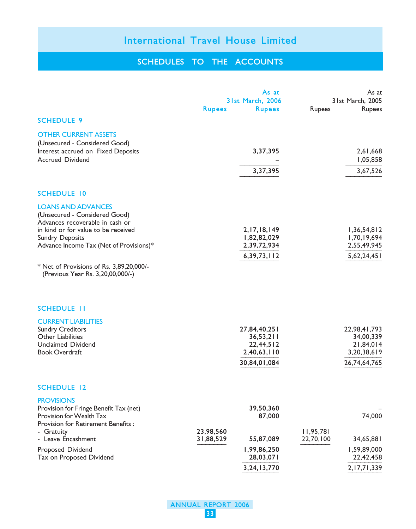### SCHEDULES TO THE ACCOUNTS

|                                                                                                                                                                                                                                                                                            | <b>Rupees</b>          | As at<br>31st March, 2006<br><b>Rupees</b>                              | Rupees                 | As at<br>31st March, 2005<br>Rupees                                   |
|--------------------------------------------------------------------------------------------------------------------------------------------------------------------------------------------------------------------------------------------------------------------------------------------|------------------------|-------------------------------------------------------------------------|------------------------|-----------------------------------------------------------------------|
| <b>SCHEDULE 9</b>                                                                                                                                                                                                                                                                          |                        |                                                                         |                        |                                                                       |
| <b>OTHER CURRENT ASSETS</b><br>(Unsecured - Considered Good)<br>Interest accrued on Fixed Deposits<br><b>Accrued Dividend</b>                                                                                                                                                              |                        | 3,37,395                                                                |                        | 2,61,668<br>1,05,858                                                  |
|                                                                                                                                                                                                                                                                                            |                        | 3,37,395                                                                |                        | 3,67,526                                                              |
| <b>SCHEDULE 10</b>                                                                                                                                                                                                                                                                         |                        |                                                                         |                        |                                                                       |
| <b>LOANS AND ADVANCES</b><br>(Unsecured - Considered Good)<br>Advances recoverable in cash or<br>in kind or for value to be received<br><b>Sundry Deposits</b><br>Advance Income Tax (Net of Provisions)*<br>* Net of Provisions of Rs. 3,89,20,000/-<br>(Previous Year Rs. 3,20,00,000/-) |                        | 2, 17, 18, 149<br>1,82,82,029<br>2,39,72,934<br>6,39,73,112             |                        | 1,36,54,812<br>1,70,19,694<br>2,55,49,945<br>5,62,24,451              |
| <b>SCHEDULE 11</b>                                                                                                                                                                                                                                                                         |                        |                                                                         |                        |                                                                       |
| <b>CURRENT LIABILITIES</b><br><b>Sundry Creditors</b><br>Other Liabilities<br>Unclaimed Dividend<br><b>Book Overdraft</b>                                                                                                                                                                  |                        | 27,84,40,251<br>36, 53, 211<br>22,44,512<br>2,40,63,110<br>30,84,01,084 |                        | 22,98,41,793<br>34,00,339<br>21,84,014<br>3,20,38,619<br>26,74,64,765 |
| <b>SCHEDULE 12</b>                                                                                                                                                                                                                                                                         |                        |                                                                         |                        |                                                                       |
| <b>PROVISIONS</b><br>Provision for Fringe Benefit Tax (net)<br>Provision for Wealth Tax<br>Provision for Retirement Benefits:                                                                                                                                                              |                        | 39,50,360<br>87,000                                                     |                        | 74,000                                                                |
| - Gratuity<br>- Leave Encashment<br>Proposed Dividend<br>Tax on Proposed Dividend                                                                                                                                                                                                          | 23,98,560<br>31,88,529 | 55,87,089<br>1,99,86,250<br>28,03,071<br>3,24,13,770                    | 11,95,781<br>22,70,100 | 34,65,881<br>1,59,89,000<br>22,42,458<br>2, 17, 71, 339               |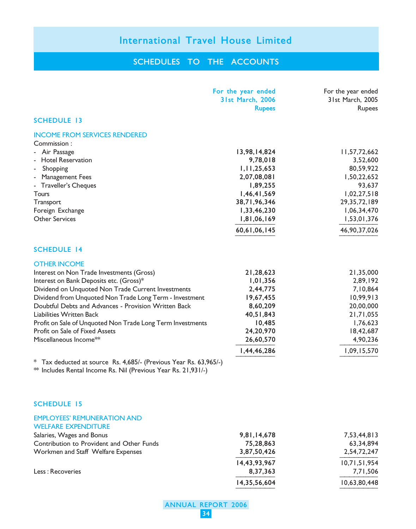### SCHEDULES TO THE ACCOUNTS

|                                                                                                                                     | For the year ended<br>31st March, 2006<br><b>Rupees</b> | For the year ended<br>31st March, 2005<br>Rupees |
|-------------------------------------------------------------------------------------------------------------------------------------|---------------------------------------------------------|--------------------------------------------------|
| <b>SCHEDULE 13</b>                                                                                                                  |                                                         |                                                  |
| <b>INCOME FROM SERVICES RENDERED</b>                                                                                                |                                                         |                                                  |
| Commission:                                                                                                                         |                                                         |                                                  |
| - Air Passage                                                                                                                       | 13,98,14,824                                            | 11,57,72,662                                     |
| - Hotel Reservation                                                                                                                 | 9,78,018                                                | 3,52,600                                         |
| Shopping<br>÷,                                                                                                                      | 1, 11, 25, 653                                          | 80,59,922                                        |
| - Management Fees                                                                                                                   | 2,07,08,081                                             | 1,50,22,652                                      |
| - Traveller's Cheques                                                                                                               | 1,89,255                                                | 93,637                                           |
| Tours                                                                                                                               | 1,46,41,569                                             | 1,02,27,518                                      |
| Transport                                                                                                                           | 38,71,96,346                                            | 29, 35, 72, 189                                  |
| Foreign Exchange<br><b>Other Services</b>                                                                                           | 1,33,46,230<br>1,81,06,169                              | 1,06,34,470                                      |
|                                                                                                                                     |                                                         | 1,53,01,376                                      |
|                                                                                                                                     | 60,61,06,145                                            | 46,90,37,026                                     |
| <b>SCHEDULE 14</b>                                                                                                                  |                                                         |                                                  |
| <b>OTHER INCOME</b>                                                                                                                 |                                                         |                                                  |
| Interest on Non Trade Investments (Gross)                                                                                           | 21,28,623                                               | 21,35,000                                        |
| Interest on Bank Deposits etc. (Gross)*                                                                                             | 1,01,356                                                | 2,89,192                                         |
| Dividend on Unquoted Non Trade Current Investments                                                                                  | 2,44,775                                                | 7,10,864                                         |
| Dividend from Unquoted Non Trade Long Term - Investment                                                                             | 19,67,455                                               | 10,99,913                                        |
| Doubtful Debts and Advances - Provision Written Back                                                                                | 8,60,209                                                | 20,00,000                                        |
| Liabilities Written Back                                                                                                            | 40,51,843                                               | 21,71,055                                        |
| Profit on Sale of Unquoted Non Trade Long Term Investments                                                                          | 10,485                                                  | 1,76,623                                         |
| Profit on Sale of Fixed Assets                                                                                                      | 24,20,970                                               | 18,42,687                                        |
| Miscellaneous Income**                                                                                                              | 26,60,570                                               | 4,90,236                                         |
|                                                                                                                                     | 1,44,46,286                                             | 1,09,15,570                                      |
| * Tax deducted at source Rs. 4,685/- (Previous Year Rs. 63,965/-)<br>** Includes Rental Income Rs. Nil (Previous Year Rs. 21,931/-) |                                                         |                                                  |
| <b>SCHEDULE 15</b>                                                                                                                  |                                                         |                                                  |
| <b>EMPLOYEES' REMUNERATION AND</b><br><b>WELFARE EXPENDITURE</b>                                                                    |                                                         |                                                  |
| Salaries, Wages and Bonus                                                                                                           | 9,81,14,678                                             | 7,53,44,813                                      |
| Contribution to Provident and Other Funds                                                                                           | 75,28,863                                               | 63,34,894                                        |
| Workmen and Staff Welfare Expenses                                                                                                  | 3,87,50,426                                             | 2,54,72,247                                      |
|                                                                                                                                     | 14,43,93,967                                            | 10,71,51,954                                     |
| Less: Recoveries                                                                                                                    | 8,37,363                                                | 7,71,506                                         |
|                                                                                                                                     |                                                         |                                                  |

ANNUAL REPORT 2006

14,35,56,604 10,63,80,448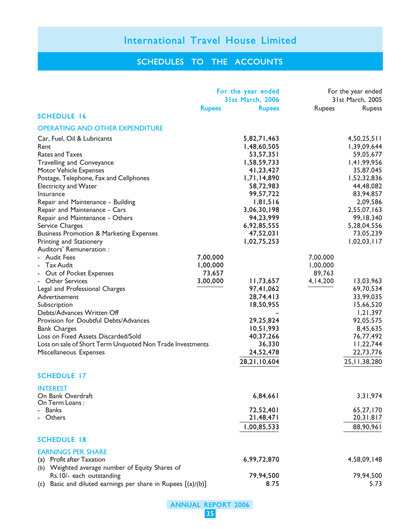### SCHEDULES TO THE ACCOUNTS

|                                                                 | For the year ended<br><b>31st March, 2006</b> |               | For the year ended<br>31st March, 2005 |                 |
|-----------------------------------------------------------------|-----------------------------------------------|---------------|----------------------------------------|-----------------|
|                                                                 | <b>Rupees</b>                                 | <b>Rupees</b> | Rupees                                 | <b>Rupess</b>   |
| <b>SCHEDULE 16</b>                                              |                                               |               |                                        |                 |
| <b>OPERATING AND OTHER EXPENDITURE</b>                          |                                               |               |                                        |                 |
| Car, Fuel, Oil & Lubricants                                     |                                               | 5,82,71,463   |                                        | 4,50,25,511     |
| Rent                                                            |                                               | 1,48,60,505   |                                        | 1,39,09,644     |
| Rates and Taxes                                                 |                                               | 53,57,351     |                                        | 59,05,677       |
| <b>Travelling and Conveyance</b>                                |                                               | 1,58,59,733   |                                        | 1,41,99,956     |
| <b>Motor Vehicle Expenses</b>                                   |                                               | 41,23,427     |                                        | 35,87,045       |
| Postage, Telephone, Fax and Cellphones                          |                                               | 1,71,14,890   |                                        | 1,52,32,836     |
| <b>Electricity and Water</b>                                    |                                               | 58,72,983     |                                        | 44,48,082       |
| Insurance                                                       |                                               | 99,57,722     |                                        | 83,94,857       |
| Repair and Maintenance - Building                               |                                               | 1,81,516      |                                        | 2,09,586        |
| Repair and Maintenance - Cars                                   |                                               | 3,06,30,198   |                                        | 2,55,07,163     |
| Repair and Maintenance - Others                                 |                                               | 94,23,999     |                                        | 99, 18, 340     |
| Service Charges                                                 |                                               | 6,92,85,555   |                                        | 5,28,04,556     |
| <b>Business Promotion &amp; Marketing Expenses</b>              |                                               | 47,52,031     |                                        | 73,05,239       |
| Printing and Stationery                                         |                                               | 1,02,75,253   |                                        | 1,02,03,117     |
| Auditors' Remuneration :                                        |                                               |               |                                        |                 |
| - Audit Fees                                                    | 7,00,000                                      |               | 7,00,000                               |                 |
| - Tax Audit                                                     | 1,00,000                                      |               | 1,00,000                               |                 |
| Out of Pocket Expenses                                          | 73,657                                        |               | 89,763                                 |                 |
| <b>Other Services</b>                                           | 3,00,000                                      | 11,73,657     | 4, 14, 200                             | 13,03,963       |
| Legal and Professional Charges                                  |                                               | 97,41,062     |                                        | 69,70,534       |
| Advertisement                                                   |                                               | 28,74,413     |                                        | 33,99,035       |
| Subscription                                                    |                                               | 18,50,955     |                                        | 15,66,520       |
| Debts/Advances Written Off                                      |                                               |               |                                        | 1,21,397        |
| Provision for Doubtful Debts/Advances                           |                                               | 29,25,824     |                                        | 92,05,575       |
| <b>Bank Charges</b>                                             |                                               | 10,51,993     |                                        | 8,45,635        |
| Loss on Fixed Assets Discarded/Sold                             |                                               | 40,37,266     |                                        | 76,77,492       |
| Loss on sale of Short Term Unquoted Non Trade Investments       |                                               | 36,330        |                                        | 11,22,744       |
| Miscellaneous Expenses                                          |                                               | 24,52,478     |                                        | 22,73,776       |
|                                                                 |                                               |               |                                        |                 |
|                                                                 |                                               | 28,21,10,604  |                                        | 25, 11, 38, 280 |
| <b>SCHEDULE 17</b>                                              |                                               |               |                                        |                 |
| <b>INTEREST</b><br>On Bank Overdraft                            |                                               | 6,84,661      |                                        | 3,31,974        |
| On Term Loans:                                                  |                                               |               |                                        |                 |
| <b>Banks</b>                                                    |                                               | 72,52,401     |                                        | 65,27,170       |
| Others                                                          |                                               | 21,48,471     |                                        | 20, 31, 817     |
|                                                                 |                                               | 1,00,85,533   |                                        | 88,90,961       |
| <b>SCHEDULE 18</b>                                              |                                               |               |                                        |                 |
| <b>EARNINGS PER SHARE</b>                                       |                                               |               |                                        |                 |
| Profit after Taxation<br>(a)                                    |                                               | 6,99,72,870   |                                        | 4,58,09,148     |
| (b) Weighted average number of Equity Shares of                 |                                               |               |                                        |                 |
| Rs.10/- each outstanding                                        |                                               | 79,94,500     |                                        | 79,94,500       |
| Basic and diluted earnings per share in Rupees [(a)/(b)]<br>(c) |                                               | 8.75          |                                        | 5.73            |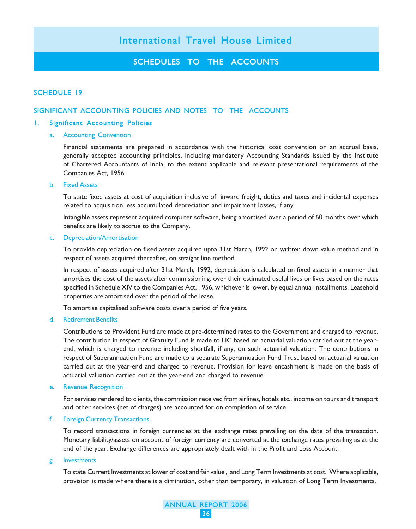### SCHEDULES TO THE ACCOUNTS

#### SCHEDULE 19

#### SIGNIFICANT ACCOUNTING POLICIES AND NOTES TO THE ACCOUNTS

#### 1. Significant Accounting Policies

#### a. Accounting Convention

Financial statements are prepared in accordance with the historical cost convention on an accrual basis, generally accepted accounting principles, including mandatory Accounting Standards issued by the Institute of Chartered Accountants of India, to the extent applicable and relevant presentational requirements of the Companies Act, 1956.

#### b. Fixed Assets

To state fixed assets at cost of acquisition inclusive of inward freight, duties and taxes and incidental expenses related to acquisition less accumulated depreciation and impairment losses, if any.

Intangible assets represent acquired computer software, being amortised over a period of 60 months over which benefits are likely to accrue to the Company.

#### c. Depreciation/Amortisation

To provide depreciation on fixed assets acquired upto 31st March, 1992 on written down value method and in respect of assets acquired thereafter, on straight line method.

In respect of assets acquired after 31st March, 1992, depreciation is calculated on fixed assets in a manner that amortises the cost of the assets after commissioning, over their estimated useful lives or lives based on the rates specified in Schedule XIV to the Companies Act, 1956, whichever is lower, by equal annual installments. Leasehold properties are amortised over the period of the lease.

To amortise capitalised software costs over a period of five years.

#### d. Retirement Benefits

Contributions to Provident Fund are made at pre-determined rates to the Government and charged to revenue. The contribution in respect of Gratuity Fund is made to LIC based on actuarial valuation carried out at the yearend, which is charged to revenue including shortfall, if any, on such actuarial valuation. The contributions in respect of Superannuation Fund are made to a separate Superannuation Fund Trust based on actuarial valuation carried out at the year-end and charged to revenue. Provision for leave encashment is made on the basis of actuarial valuation carried out at the year-end and charged to revenue.

#### e. Revenue Recognition

For services rendered to clients, the commission received from airlines, hotels etc., income on tours and transport and other services (net of charges) are accounted for on completion of service.

#### f. Foreign Currency Transactions

To record transactions in foreign currencies at the exchange rates prevailing on the date of the transaction. Monetary liability/assets on account of foreign currency are converted at the exchange rates prevailing as at the end of the year. Exchange differences are appropriately dealt with in the Profit and Loss Account.

#### g. Investments

To state Current Investments at lower of cost and fair value , and Long Term Investments at cost. Where applicable, provision is made where there is a diminution, other than temporary, in valuation of Long Term Investments.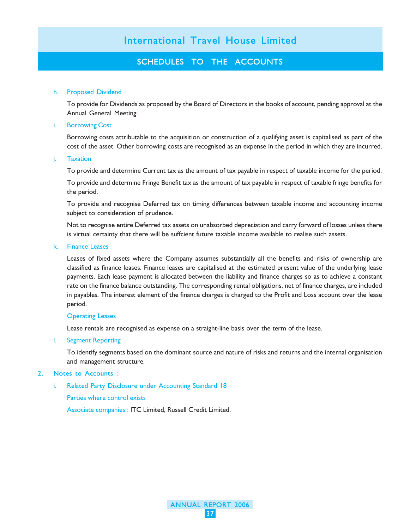### SCHEDULES TO THE ACCOUNTS

#### h. Proposed Dividend

To provide for Dividends as proposed by the Board of Directors in the books of account, pending approval at the Annual General Meeting.

#### i. Borrowing Cost

Borrowing costs attributable to the acquisition or construction of a qualifying asset is capitalised as part of the cost of the asset. Other borrowing costs are recognised as an expense in the period in which they are incurred.

#### j. Taxation

To provide and determine Current tax as the amount of tax payable in respect of taxable income for the period.

To provide and determine Fringe Benefit tax as the amount of tax payable in respect of taxable fringe benefits for the period.

To provide and recognise Deferred tax on timing differences between taxable income and accounting income subject to consideration of prudence.

Not to recognise entire Deferred tax assets on unabsorbed depreciation and carry forward of losses unless there is virtual certainty that there will be suffcient future taxable income available to realise such assets.

#### k. Finance Leases

Leases of fixed assets where the Company assumes substantially all the benefits and risks of ownership are classified as finance leases. Finance leases are capitalised at the estimated present value of the underlying lease payments. Each lease payment is allocated between the liability and finance charges so as to achieve a constant rate on the finance balance outstanding. The corresponding rental obligations, net of finance charges, are included in payables. The interest element of the finance charges is charged to the Profit and Loss account over the lease period.

#### Operating Leases

Lease rentals are recognised as expense on a straight-line basis over the term of the lease.

l. Segment Reporting

To identify segments based on the dominant source and nature of risks and returns and the internal organisation and management structure.

> ANNUAL REPORT 2006 37

#### 2. Notes to Accounts :

i. Related Party Disclosure under Accounting Standard 18

Parties where control exists

Associate companies : ITC Limited, Russell Credit Limited.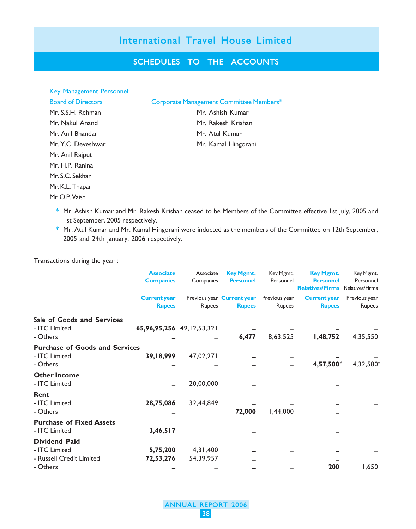### SCHEDULES TO THE ACCOUNTS

| Key Management Personnel: |                                         |
|---------------------------|-----------------------------------------|
| <b>Board of Directors</b> | Corporate Management Committee Members* |
| Mr. S.S.H. Rehman         | Mr. Ashish Kumar                        |
| Mr. Nakul Anand           | Mr. Rakesh Krishan                      |
| Mr. Anil Bhandari         | Mr. Atul Kumar                          |
| Mr. Y.C. Deveshwar        | Mr. Kamal Hingorani                     |
| Mr. Anil Rajput           |                                         |
| Mr. H.P. Ranina           |                                         |
| Mr. S.C. Sekhar           |                                         |
| Mr. K.L. Thapar           |                                         |
| Mr. O.P. Vaish            |                                         |

- \* Mr. Ashish Kumar and Mr. Rakesh Krishan ceased to be Members of the Committee effective 1st July, 2005 and 1st September, 2005 respectively.
- \* Mr. Atul Kumar and Mr. Kamal Hingorani were inducted as the members of the Committee on 12th September, 2005 and 24th January, 2006 respectively.

| Transactions during the year :                                                |                                      |                         |                                             |                         |                                                                |                                                  |
|-------------------------------------------------------------------------------|--------------------------------------|-------------------------|---------------------------------------------|-------------------------|----------------------------------------------------------------|--------------------------------------------------|
|                                                                               | <b>Associate</b><br><b>Companies</b> | Associate<br>Companies  | <b>Key Mgmt.</b><br><b>Personnel</b>        | Key Mgmt.<br>Personnel  | <b>Key Mgmt.</b><br><b>Personnel</b><br><b>Relatives/Firms</b> | Key Mgmt.<br>Personnel<br><b>Relatives/Firms</b> |
|                                                                               | <b>Current year</b><br><b>Rupees</b> | Rupees                  | Previous year Current year<br><b>Rupees</b> | Previous year<br>Rupees | <b>Current year</b><br><b>Rupees</b>                           | Previous year<br>Rupees                          |
| Sale of Goods and Services<br>- ITC Limited<br>- Others                       | 65,96,95,256 49,12,53,321            |                         | 6,477                                       | 8,63,525                | 1,48,752                                                       | 4,35,550                                         |
| <b>Purchase of Goods and Services</b><br>- ITC Limited<br>- Others            | 39,18,999                            | 47,02,271               |                                             |                         | 4,57,500*                                                      | 4,32,580                                         |
| <b>Other Income</b><br>- ITC Limited                                          |                                      | 20,00,000               |                                             |                         |                                                                |                                                  |
| Rent<br>- ITC Limited<br>- Others                                             | 28,75,086                            | 32,44,849               | 72,000                                      | 1,44,000                |                                                                |                                                  |
| <b>Purchase of Fixed Assets</b><br>- ITC Limited                              | 3,46,517                             |                         |                                             |                         |                                                                |                                                  |
| <b>Dividend Paid</b><br>- ITC Limited<br>- Russell Credit Limited<br>- Others | 5,75,200<br>72,53,276                | 4, 31, 400<br>54,39,957 |                                             |                         | 200                                                            | 1,650                                            |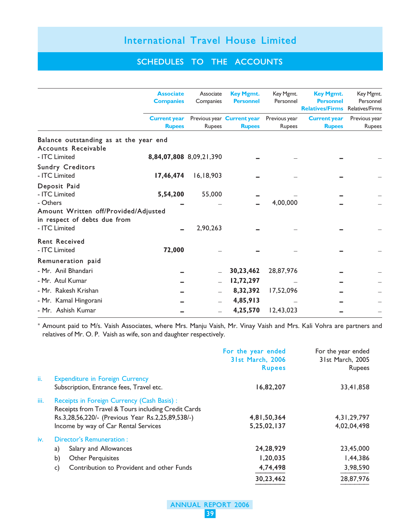### SCHEDULES TO THE ACCOUNTS

|                                                                                  | <b>Associate</b><br><b>Companies</b> | Associate<br>Companies  | <b>Key Mgmt.</b><br><b>Personnel</b>        | Key Mgmt.<br>Personnel  | <b>Key Mgmt.</b><br><b>Personnel</b><br><b>Relatives/Firms</b> Relatives/Firms | Key Mgmt.<br>Personnel  |
|----------------------------------------------------------------------------------|--------------------------------------|-------------------------|---------------------------------------------|-------------------------|--------------------------------------------------------------------------------|-------------------------|
|                                                                                  | <b>Current year</b><br><b>Rupees</b> | Rupees                  | Previous year Current year<br><b>Rupees</b> | Previous year<br>Rupees | <b>Current year</b><br><b>Rupees</b>                                           | Previous year<br>Rupees |
| Balance outstanding as at the year end<br>Accounts Receivable                    |                                      |                         |                                             |                         |                                                                                |                         |
| - ITC Limited                                                                    |                                      | 8,84,07,808 8,09,21,390 |                                             |                         |                                                                                |                         |
| <b>Sundry Creditors</b><br>- ITC Limited                                         | 17,46,474                            | 16, 18, 903             |                                             |                         |                                                                                |                         |
| Deposit Paid<br>- ITC Limited                                                    | 5,54,200                             | 55,000                  |                                             |                         |                                                                                |                         |
| - Others<br>Amount Written off/Provided/Adjusted<br>in respect of debts due from |                                      |                         |                                             | 4,00,000                |                                                                                |                         |
| - ITC Limited                                                                    |                                      | 2,90,263                |                                             |                         |                                                                                |                         |
| <b>Rent Received</b><br>- ITC Limited                                            | 72,000                               |                         |                                             |                         |                                                                                |                         |
| Remuneration paid                                                                |                                      |                         |                                             |                         |                                                                                |                         |
| - Mr. Anil Bhandari                                                              |                                      |                         | 30,23,462                                   | 28,87,976               |                                                                                |                         |
| - Mr. Atul Kumar                                                                 |                                      |                         | 12,72,297                                   |                         |                                                                                |                         |
| - Mr. Rakesh Krishan                                                             |                                      |                         | 8,32,392                                    | 17,52,096               |                                                                                |                         |
| - Mr. Kamal Hingorani                                                            |                                      |                         | 4,85,913                                    |                         |                                                                                |                         |
| - Mr. Ashish Kumar                                                               |                                      |                         | 4,25,570                                    | 12,43,023               |                                                                                |                         |

\* Amount paid to M/s. Vaish Associates, where Mrs. Manju Vaish, Mr. Vinay Vaish and Mrs. Kali Vohra are partners and relatives of Mr. O. P. Vaish as wife, son and daughter respectively.

|      |                                                                                                                                                                                                 | For the year ended<br>31st March, 2006<br><b>Rupees</b> | For the year ended<br>31st March, 2005<br><b>Rupees</b> |
|------|-------------------------------------------------------------------------------------------------------------------------------------------------------------------------------------------------|---------------------------------------------------------|---------------------------------------------------------|
| ii.  | <b>Expenditure in Foreign Currency</b><br>Subscription, Entrance fees, Travel etc.                                                                                                              | 16,82,207                                               | 33,41,858                                               |
| iii. | Receipts in Foreign Currency (Cash Basis) :<br>Receipts from Travel & Tours including Credit Cards<br>Rs.3,28,56,220/- (Previous Year Rs.2,25,89,538/-)<br>Income by way of Car Rental Services | 4,81,50,364<br>5,25,02,137                              | 4, 31, 29, 797<br>4,02,04,498                           |
| iv.  | Director's Remuneration:                                                                                                                                                                        |                                                         |                                                         |
|      | Salary and Allowances<br>a)                                                                                                                                                                     | 24,28,929                                               | 23,45,000                                               |
|      | b)<br><b>Other Perquisites</b>                                                                                                                                                                  | 1,20,035                                                | 1,44,386                                                |
|      | Contribution to Provident and other Funds<br>c)                                                                                                                                                 | 4,74,498                                                | 3,98,590                                                |
|      |                                                                                                                                                                                                 | 30,23,462                                               | 28,87,976                                               |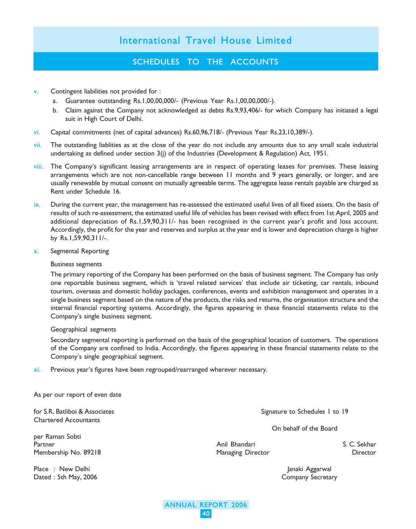### SCHEDULES TO THE ACCOUNTS

- v. Contingent liabilities not provided for :
	- a. Guarantee outstanding Rs.1,00,00,000/- (Previous Year Rs.1,00,00,000/-).
	- b. Claim against the Company not acknowledged as debts Rs.9,93,406/- for which Company has initiated a legal suit in High Court of Delhi.
- vi. Capital commitments (net of capital advances) Rs.60,96,718/- (Previous Year Rs.23,10,389/-).
- vii. The outstanding liablities as at the close of the year do not include any amounts due to any small scale industrial undertaking as defined under section  $3(j)$  of the Industries (Development & Regulation) Act, 1951.
- viii. The Company's significant leasing arrangements are in respect of operating leases for premises. These leasing arrangements which are not non-cancellable range between 11 months and 9 years generally, or longer, and are usually renewable by mutual consent on mutually agreeable terms. The aggregate lease rentals payable are charged as Rent under Schedule 16.
- ix. During the current year, the management has re-assessed the estimated useful lives of all fixed assets. On the basis of results of such re-assessment, the estimated useful life of vehicles has been revised with effect from 1st April, 2005 and additional depreciation of Rs.1,59,90,311/- has been recognised in the current year's profit and loss account. Accordingly, the profit for the year and reserves and surplus at the year end is lower and depreciation charge is higher by Rs.1,59,90,311/-.
- x. Segmental Reporting

#### Business segments

The primary reporting of the Company has been performed on the basis of business segment. The Company has only one reportable business segment, which is 'travel related services' that include air ticketing, car rentals, inbound tourism, overseas and domestic holiday packages, conferences, events and exhibition management and operates in a single business segment based on the nature of the products, the risks and returns, the organisation structure and the internal financial reporting systems. Accordingly, the figures appearing in these financial statements relate to the Company's single business segment.

#### Geographical segments

Secondary segmental reporting is performed on the basis of the geographical location of customers. The operations of the Company are confined to India. Accordingly, the figures appearing in these financial statements relate to the Company's single geographical segment.

> ANNUAL REPORT 2006 40

xi. Previous year's figures have been regrouped/rearranged wherever necessary.

|  |  |  | As per our report of even date |  |  |  |
|--|--|--|--------------------------------|--|--|--|
|--|--|--|--------------------------------|--|--|--|

Chartered Accountants

per Raman Sobti Partner Anil Bhandari S. C. Sekhar Membership No. 89218 Managing Director Director

Place : New Delhi Janaki Aggarwal Dated : 5th May, 2006 Company Secretary

for S.R. Batliboi & Associates Signature to Schedules 1 to 19

On behalf of the Board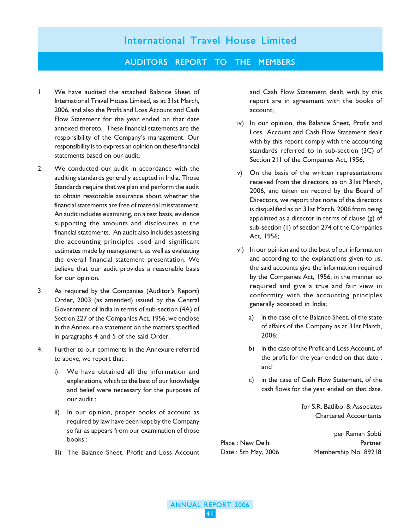#### AUDITORS REPORT TO THE MEMBERS

- 1. We have audited the attached Balance Sheet of International Travel House Limited, as at 31st March, 2006, and also the Profit and Loss Account and Cash Flow Statement for the year ended on that date annexed thereto. These financial statements are the responsibility of the Company's management. Our responsibility is to express an opinion on these financial statements based on our audit.
- 2. We conducted our audit in accordance with the auditing standards generally accepted in India. Those Standards require that we plan and perform the audit to obtain reasonable assurance about whether the financial statements are free of material misstatement. An audit includes examining, on a test basis, evidence supporting the amounts and disclosures in the financial statements. An audit also includes assessing the accounting principles used and significant estimates made by management, as well as evaluating the overall financial statement presentation. We believe that our audit provides a reasonable basis for our opinion.
- 3. As required by the Companies (Auditor's Report) Order, 2003 (as amended) issued by the Central Government of India in terms of sub-section (4A) of Section 227 of the Companies Act, 1956, we enclose in the Annexure a statement on the matters specified in paragraphs 4 and 5 of the said Order.
- 4. Further to our comments in the Annexure referred to above, we report that :
	- i) We have obtained all the information and explanations, which to the best of our knowledge and belief were necessary for the purposes of our audit ;
	- ii) In our opinion, proper books of account as required by law have been kept by the Company so far as appears from our examination of those books ;
	- iii) The Balance Sheet, Profit and Loss Account

and Cash Flow Statement dealt with by this report are in agreement with the books of account;

- iv) In our opinion, the Balance Sheet, Profit and Loss Account and Cash Flow Statement dealt with by this report comply with the accounting standards referred to in sub-section (3C) of Section 211 of the Companies Act, 1956;
- v) On the basis of the written representations received from the directors, as on 31st March, 2006, and taken on record by the Board of Directors, we report that none of the directors is disqualified as on 31st March, 2006 from being appointed as a director in terms of clause  $(g)$  of sub-section (1) of section 274 of the Companies Act, 1956;
- vi) In our opinion and to the best of our information and according to the explanations given to us, the said accounts give the information required by the Companies Act, 1956, in the manner so required and give a true and fair view in conformity with the accounting principles generally accepted in India;
	- a) in the case of the Balance Sheet, of the state of affairs of the Company as at 31st March, 2006;
	- b) in the case of the Profit and Loss Account, of the profit for the year ended on that date ; and
	- c) in the case of Cash Flow Statement, of the cash flows for the year ended on that date.

for S.R. Batliboi & Associates Chartered Accountants

per Raman Sobti Place : New Delhi Partner Date : 5th May, 2006 Membership No. 89218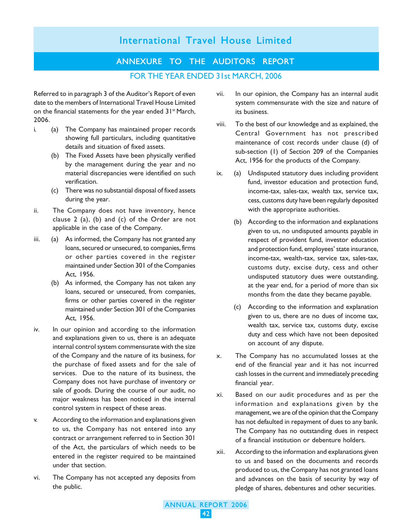### ANNEXURE TO THE AUDITORS REPORT FOR THE YEAR ENDED 31st MARCH, 2006

Referred to in paragraph 3 of the Auditor's Report of even date to the members of International Travel House Limited on the financial statements for the year ended 31<sup>st</sup> March, 2006.

- i. (a) The Company has maintained proper records showing full particulars, including quantitative details and situation of fixed assets.
	- (b) The Fixed Assets have been physically verified by the management during the year and no material discrepancies were identified on such verification.
	- (c) There was no substantial disposal of fixed assets during the year.
- ii. The Company does not have inventory, hence clause 2 (a), (b) and (c) of the Order are not applicable in the case of the Company.
- iii. (a) As informed, the Company has not granted any loans, secured or unsecured, to companies, firms or other parties covered in the register maintained under Section 301 of the Companies Act, 1956.
	- (b) As informed, the Company has not taken any loans, secured or unsecured, from companies, firms or other parties covered in the register maintained under Section 301 of the Companies Act, 1956.
- iv. In our opinion and according to the information and explanations given to us, there is an adequate internal control system commensurate with the size of the Company and the nature of its business, for the purchase of fixed assets and for the sale of services. Due to the nature of its business, the Company does not have purchase of inventory or sale of goods. During the course of our audit, no major weakness has been noticed in the internal control system in respect of these areas.
- v. According to the information and explanations given to us, the Company has not entered into any contract or arrangement referred to in Section 301 of the Act, the particulars of which needs to be entered in the register required to be maintained under that section.
- vi. The Company has not accepted any deposits from the public.
- vii. In our opinion, the Company has an internal audit system commensurate with the size and nature of its business.
- viii. To the best of our knowledge and as explained, the Central Government has not prescribed maintenance of cost records under clause (d) of sub-section (1) of Section 209 of the Companies Act, 1956 for the products of the Company.
- ix. (a) Undisputed statutory dues including provident fund, investor education and protection fund, income-tax, sales-tax, wealth tax, service tax, cess, customs duty have been regularly deposited with the appropriate authorities.
	- (b) According to the information and explanations given to us, no undisputed amounts payable in respect of provident fund, investor education and protection fund, employees' state insurance, income-tax, wealth-tax, service tax, sales-tax, customs duty, excise duty, cess and other undisputed statutory dues were outstanding, at the year end, for a period of more than six months from the date they became payable.
	- (c) According to the information and explanation given to us, there are no dues of income tax, wealth tax, service tax, customs duty, excise duty and cess which have not been deposited on account of any dispute.
- x. The Company has no accumulated losses at the end of the financial year and it has not incurred cash losses in the current and immediately preceding financial year.
- xi. Based on our audit procedures and as per the information and explanations given by the management, we are of the opinion that the Company has not defaulted in repayment of dues to any bank. The Company has no outstanding dues in respect of a financial institution or debenture holders.
- xii. According to the information and explanations given to us and based on the documents and records produced to us, the Company has not granted loans and advances on the basis of security by way of pledge of shares, debentures and other securities.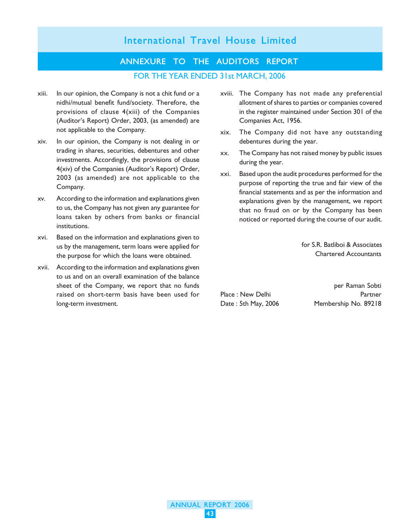### ANNEXURE TO THE AUDITORS REPORT FOR THE YEAR ENDED 31st MARCH, 2006

- xiii. In our opinion, the Company is not a chit fund or a nidhi/mutual benefit fund/society. Therefore, the provisions of clause 4(xiii) of the Companies (Auditor's Report) Order, 2003, (as amended) are not applicable to the Company.
- xiv. In our opinion, the Company is not dealing in or trading in shares, securities, debentures and other investments. Accordingly, the provisions of clause 4(xiv) of the Companies (Auditor's Report) Order, 2003 (as amended) are not applicable to the Company.
- xv. According to the information and explanations given to us, the Company has not given any guarantee for loans taken by others from banks or financial institutions.
- xvi. Based on the information and explanations given to us by the management, term loans were applied for the purpose for which the loans were obtained.
- xvii. According to the information and explanations given to us and on an overall examination of the balance sheet of the Company, we report that no funds raised on short-term basis have been used for long-term investment.
- xviii. The Company has not made any preferential allotment of shares to parties or companies covered in the register maintained under Section 301 of the Companies Act, 1956.
- xix. The Company did not have any outstanding debentures during the year.
- xx. The Company has not raised money by public issues during the year.
- xxi. Based upon the audit procedures performed for the purpose of reporting the true and fair view of the financial statements and as per the information and explanations given by the management, we report that no fraud on or by the Company has been noticed or reported during the course of our audit.

for S.R. Batliboi & Associates Chartered Accountants

per Raman Sobti Place : New Delhi Partner Date : 5th May, 2006 Membership No. 89218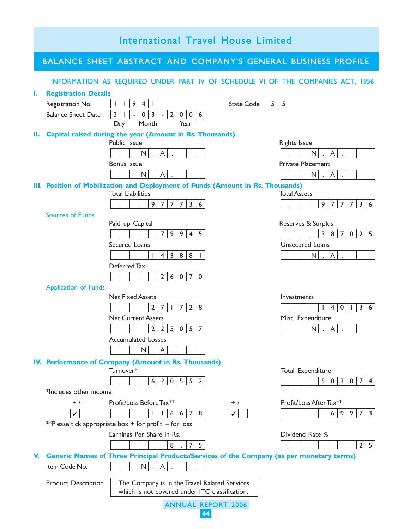| International Travel House Limited |                                               |                                                                                                                                                                                                                                              |                                                                                     |  |
|------------------------------------|-----------------------------------------------|----------------------------------------------------------------------------------------------------------------------------------------------------------------------------------------------------------------------------------------------|-------------------------------------------------------------------------------------|--|
|                                    |                                               | BALANCE SHEET ABSTRACT AND COMPANY'S GENERAL BUSINESS PROFILE                                                                                                                                                                                |                                                                                     |  |
|                                    |                                               | INFORMATION AS REQUIRED UNDER PART IV OF SCHEDULE VI OF THE COMPANIES ACT, 1956                                                                                                                                                              |                                                                                     |  |
| ı.                                 | <b>Registration Details</b>                   |                                                                                                                                                                                                                                              |                                                                                     |  |
|                                    | Registration No.<br><b>Balance Sheet Date</b> | 9<br>$\overline{4}$<br><b>State Code</b><br>$\mathbf{L}$<br>$\mathbf{I}$<br>$\mathbf{I}$<br>$\overline{2}$<br>$\mathbf 0$<br>$\overline{3}$<br>3 <sup>1</sup><br>$\overline{1}$<br>$\mathbf 0$<br>$\pmb{0}$<br>6<br>$\overline{\phantom{a}}$ | $5 \mid 5$                                                                          |  |
|                                    |                                               | Month<br>Year<br>Day                                                                                                                                                                                                                         |                                                                                     |  |
| н.                                 |                                               | Capital raised during the year (Amount in Rs. Thousands)<br>Public Issue                                                                                                                                                                     | <b>Rights Issue</b>                                                                 |  |
|                                    |                                               | N<br>A                                                                                                                                                                                                                                       | N<br>A                                                                              |  |
|                                    |                                               | <b>Bonus Issue</b>                                                                                                                                                                                                                           | <b>Private Placement</b>                                                            |  |
|                                    |                                               | $\mathsf{N}$<br>$\overline{\mathsf{A}}$                                                                                                                                                                                                      | $\overline{\mathsf{N}}$<br>A<br>$\ddot{\phantom{0}}$<br>$\ddot{\phantom{a}}$        |  |
|                                    |                                               | III. Position of Mobilization and Deployment of Funds (Amount in Rs. Thousands)<br><b>Total Liabilities</b>                                                                                                                                  | <b>Total Assets</b>                                                                 |  |
|                                    |                                               | 9<br>$\overline{7}$<br>$\overline{7}$<br>$\overline{7}$<br>3 <sup>1</sup><br>6                                                                                                                                                               | 3 6<br>9<br>$7 \mid 7$<br>7 <sup>1</sup>                                            |  |
|                                    | <b>Sources of Funds</b>                       |                                                                                                                                                                                                                                              |                                                                                     |  |
|                                    |                                               | Paid up Capital                                                                                                                                                                                                                              | Reserves & Surplus                                                                  |  |
|                                    |                                               | 5<br>$\overline{7}$<br>9<br>9<br>$\overline{4}$                                                                                                                                                                                              | 3<br>$2 \mid 5$<br>8<br>$\overline{7}$<br>$\overline{0}$                            |  |
|                                    |                                               | Secured Loans<br>$\overline{4}$<br>$\overline{3}$<br>8<br>8<br>$\mathbf{L}$                                                                                                                                                                  | <b>Unsecured Loans</b><br>$\mathsf{N}$<br>$\overline{\mathsf{A}}$<br>$\sim$         |  |
|                                    |                                               | Deferred Tax                                                                                                                                                                                                                                 |                                                                                     |  |
|                                    |                                               | $\overline{7}$<br>$\overline{2}$<br>6<br>$\mathbf 0$<br>$\mathbf 0$                                                                                                                                                                          |                                                                                     |  |
|                                    | <b>Application of Funds</b>                   |                                                                                                                                                                                                                                              |                                                                                     |  |
|                                    |                                               | <b>Net Fixed Assets</b><br>$\overline{2}$<br>$\overline{7}$<br>$\overline{7}$<br>2<br>8                                                                                                                                                      | Investments<br>3 6<br>$\overline{4}$<br>$\mathbf 0$<br>$\mathsf{L}$<br>$\mathbf{I}$ |  |
|                                    |                                               | I.<br><b>Net Current Assets</b>                                                                                                                                                                                                              | Misc. Expenditure                                                                   |  |
|                                    |                                               | 5<br>5<br>$\overline{2}$<br>$\overline{2}$<br>0<br>7                                                                                                                                                                                         | A<br>N                                                                              |  |
|                                    |                                               | <b>Accumulated Losses</b>                                                                                                                                                                                                                    |                                                                                     |  |
|                                    |                                               | N<br>A                                                                                                                                                                                                                                       |                                                                                     |  |
|                                    |                                               | IV. Performance of Company (Amount in Rs. Thousands)                                                                                                                                                                                         |                                                                                     |  |
|                                    |                                               | Turnover*<br>$\sqrt{2}$<br>$\mathbf 0$<br>5<br>5 <br>6 <sup>1</sup><br>$\overline{2}$                                                                                                                                                        | Total Expenditure<br>5<br>$0 \mid 3$<br>$8 \mid 7 \mid 4 \mid$                      |  |
|                                    | *Includes other income                        |                                                                                                                                                                                                                                              |                                                                                     |  |
|                                    | $+$ / $-$                                     | Profit/Loss Before Tax**<br>$+$ / $-$                                                                                                                                                                                                        | Profit/Loss After Tax**                                                             |  |
|                                    |                                               | 7<br>8<br>6<br>6                                                                                                                                                                                                                             | 6<br>9<br>9<br>7 <sup>1</sup><br>3                                                  |  |
|                                    |                                               | **Please tick appropriate box + for profit, $-$ for loss                                                                                                                                                                                     |                                                                                     |  |
|                                    |                                               | Earnings Per Share in Rs.<br>8<br>$\overline{7}$<br>5                                                                                                                                                                                        | Dividend Rate %<br>$2 \mid 5$                                                       |  |
| V.                                 |                                               | <b>Generic Names of Three Principal Products/Services of the Company (as per monetary terms)</b>                                                                                                                                             |                                                                                     |  |
|                                    | Item Code No.                                 | N<br>A                                                                                                                                                                                                                                       |                                                                                     |  |
|                                    | <b>Product Description</b>                    | The Company is in the Travel Ralated Services<br>which is not covered under ITC classification.                                                                                                                                              |                                                                                     |  |
|                                    |                                               |                                                                                                                                                                                                                                              |                                                                                     |  |
| <b>ANNUAL REPORT 2006</b><br>44    |                                               |                                                                                                                                                                                                                                              |                                                                                     |  |